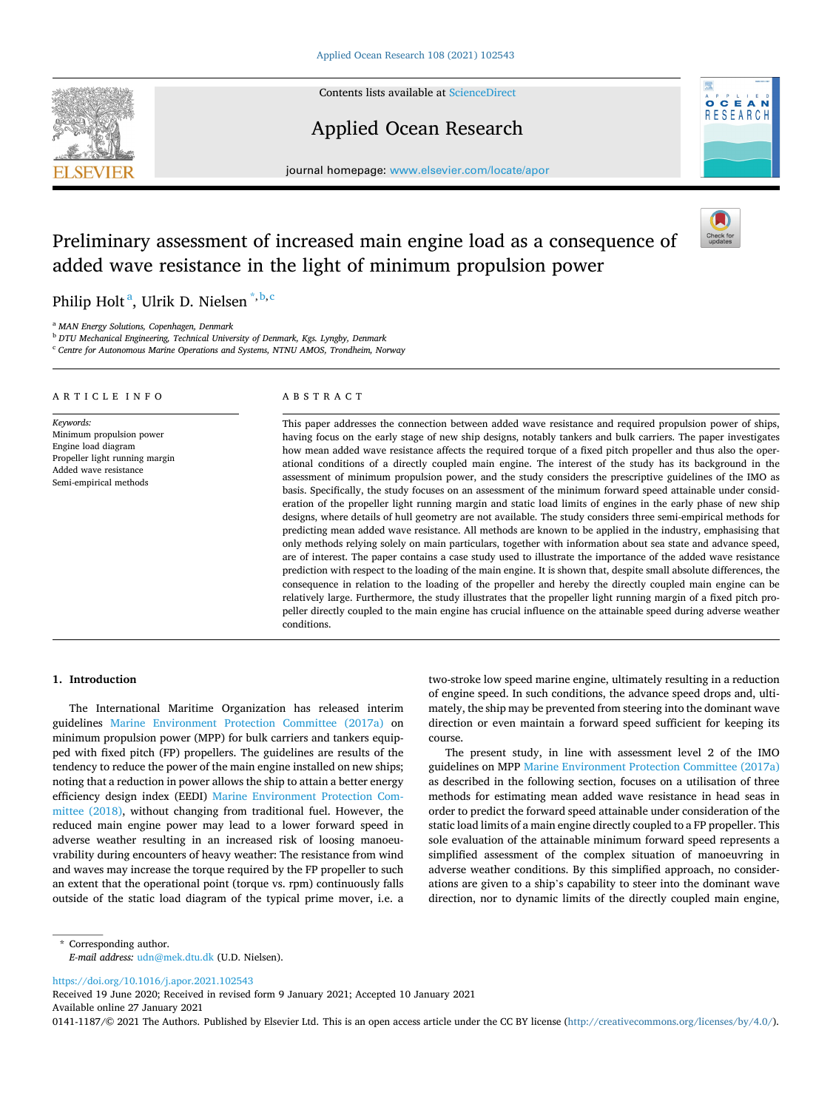

Contents lists available at [ScienceDirect](www.sciencedirect.com/science/journal/01411187)

## Applied Ocean Research



journal homepage: [www.elsevier.com/locate/apor](https://www.elsevier.com/locate/apor) 

# Preliminary assessment of increased main engine load as a consequence of added wave resistance in the light of minimum propulsion power

Philip Holt<sup>a</sup>, Ulrik D. Nielsen<sup>\*,b,c</sup>

<sup>a</sup> *MAN Energy Solutions, Copenhagen, Denmark* 

<sup>b</sup> *DTU Mechanical Engineering, Technical University of Denmark, Kgs. Lyngby, Denmark* 

<sup>c</sup> *Centre for Autonomous Marine Operations and Systems, NTNU AMOS, Trondheim, Norway* 

| ARTICLE INFO                                                                                                                                      | ABSTRACT                                                                                                                                                                                                                                                                                                                                                                                                                                                                                                                                                                                                                                                                                                                                                                                                                                                                                                                                                                                                                                                                                                                                                                                                                                                                                                                                                                                               |
|---------------------------------------------------------------------------------------------------------------------------------------------------|--------------------------------------------------------------------------------------------------------------------------------------------------------------------------------------------------------------------------------------------------------------------------------------------------------------------------------------------------------------------------------------------------------------------------------------------------------------------------------------------------------------------------------------------------------------------------------------------------------------------------------------------------------------------------------------------------------------------------------------------------------------------------------------------------------------------------------------------------------------------------------------------------------------------------------------------------------------------------------------------------------------------------------------------------------------------------------------------------------------------------------------------------------------------------------------------------------------------------------------------------------------------------------------------------------------------------------------------------------------------------------------------------------|
| Keywords:<br>Minimum propulsion power<br>Engine load diagram<br>Propeller light running margin<br>Added wave resistance<br>Semi-empirical methods | This paper addresses the connection between added wave resistance and required propulsion power of ships,<br>having focus on the early stage of new ship designs, notably tankers and bulk carriers. The paper investigates<br>how mean added wave resistance affects the required torque of a fixed pitch propeller and thus also the oper-<br>ational conditions of a directly coupled main engine. The interest of the study has its background in the<br>assessment of minimum propulsion power, and the study considers the prescriptive guidelines of the IMO as<br>basis. Specifically, the study focuses on an assessment of the minimum forward speed attainable under consid-<br>eration of the propeller light running margin and static load limits of engines in the early phase of new ship<br>designs, where details of hull geometry are not available. The study considers three semi-empirical methods for<br>predicting mean added wave resistance. All methods are known to be applied in the industry, emphasising that<br>only methods relying solely on main particulars, together with information about sea state and advance speed,<br>are of interest. The paper contains a case study used to illustrate the importance of the added wave resistance<br>prodiction with respect to the loading of the main engine. It is shown that despite small absolute differences the |

diction with respect to the loading of the main engine. It is shown that, despite small absolute differences, the consequence in relation to the loading of the propeller and hereby the directly coupled main engine can be relatively large. Furthermore, the study illustrates that the propeller light running margin of a fixed pitch propeller directly coupled to the main engine has crucial influence on the attainable speed during adverse weather conditions.

#### **1. Introduction**

The International Maritime Organization has released interim guidelines [Marine Environment Protection Committee \(2017a\)](#page-11-0) on minimum propulsion power (MPP) for bulk carriers and tankers equipped with fixed pitch (FP) propellers. The guidelines are results of the tendency to reduce the power of the main engine installed on new ships; noting that a reduction in power allows the ship to attain a better energy efficiency design index (EEDI) [Marine Environment Protection Com](#page-11-0)[mittee \(2018\)](#page-11-0), without changing from traditional fuel. However, the reduced main engine power may lead to a lower forward speed in adverse weather resulting in an increased risk of loosing manoeuvrability during encounters of heavy weather: The resistance from wind and waves may increase the torque required by the FP propeller to such an extent that the operational point (torque vs. rpm) continuously falls outside of the static load diagram of the typical prime mover, i.e. a

two-stroke low speed marine engine, ultimately resulting in a reduction of engine speed. In such conditions, the advance speed drops and, ultimately, the ship may be prevented from steering into the dominant wave direction or even maintain a forward speed sufficient for keeping its course.

The present study, in line with assessment level 2 of the IMO guidelines on MPP [Marine Environment Protection Committee \(2017a\)](#page-11-0)  as described in the following section, focuses on a utilisation of three methods for estimating mean added wave resistance in head seas in order to predict the forward speed attainable under consideration of the static load limits of a main engine directly coupled to a FP propeller. This sole evaluation of the attainable minimum forward speed represents a simplified assessment of the complex situation of manoeuvring in adverse weather conditions. By this simplified approach, no considerations are given to a ship's capability to steer into the dominant wave direction, nor to dynamic limits of the directly coupled main engine,

<https://doi.org/10.1016/j.apor.2021.102543>

Available online 27 January 2021 Received 19 June 2020; Received in revised form 9 January 2021; Accepted 10 January 2021

0141-1187/© 2021 The Authors. Published by Elsevier Ltd. This is an open access article under the CC BY license [\(http://creativecommons.org/licenses/by/4.0/\)](http://creativecommons.org/licenses/by/4.0/).

<sup>\*</sup> Corresponding author. *E-mail address:* [udn@mek.dtu.dk](mailto:udn@mek.dtu.dk) (U.D. Nielsen).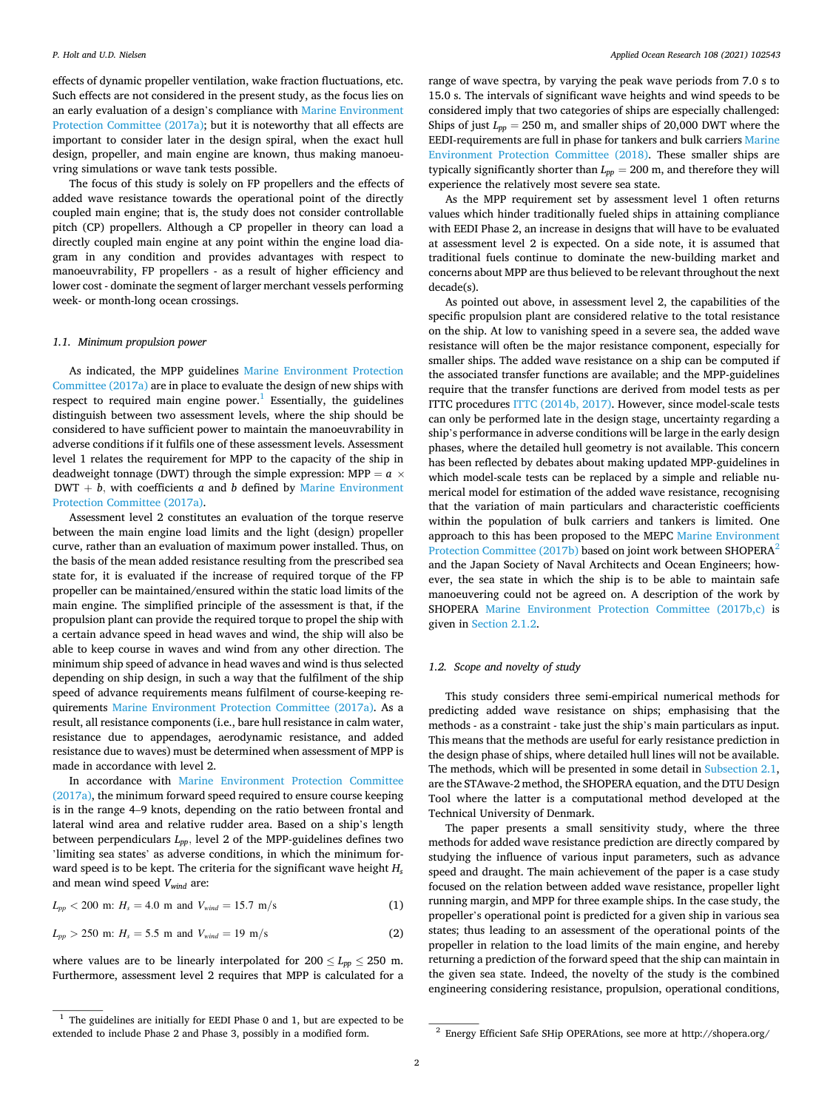effects of dynamic propeller ventilation, wake fraction fluctuations, etc. Such effects are not considered in the present study, as the focus lies on an early evaluation of a design's compliance with [Marine Environment](#page-11-0)  [Protection Committee \(2017a\);](#page-11-0) but it is noteworthy that all effects are important to consider later in the design spiral, when the exact hull design, propeller, and main engine are known, thus making manoeuvring simulations or wave tank tests possible.

The focus of this study is solely on FP propellers and the effects of added wave resistance towards the operational point of the directly coupled main engine; that is, the study does not consider controllable pitch (CP) propellers. Although a CP propeller in theory can load a directly coupled main engine at any point within the engine load diagram in any condition and provides advantages with respect to manoeuvrability, FP propellers - as a result of higher efficiency and lower cost - dominate the segment of larger merchant vessels performing week- or month-long ocean crossings.

#### *1.1. Minimum propulsion power*

As indicated, the MPP guidelines [Marine Environment Protection](#page-11-0)  [Committee \(2017a\)](#page-11-0) are in place to evaluate the design of new ships with respect to required main engine power.<sup>1</sup> Essentially, the guidelines distinguish between two assessment levels, where the ship should be considered to have sufficient power to maintain the manoeuvrability in adverse conditions if it fulfils one of these assessment levels. Assessment level 1 relates the requirement for MPP to the capacity of the ship in deadweight tonnage (DWT) through the simple expression: MPP =  $a \times$  $DWT + b$ *, with coefficients a and b defined by Marine Environment* [Protection Committee \(2017a\)](#page-11-0).

Assessment level 2 constitutes an evaluation of the torque reserve between the main engine load limits and the light (design) propeller curve, rather than an evaluation of maximum power installed. Thus, on the basis of the mean added resistance resulting from the prescribed sea state for, it is evaluated if the increase of required torque of the FP propeller can be maintained/ensured within the static load limits of the main engine. The simplified principle of the assessment is that, if the propulsion plant can provide the required torque to propel the ship with a certain advance speed in head waves and wind, the ship will also be able to keep course in waves and wind from any other direction. The minimum ship speed of advance in head waves and wind is thus selected depending on ship design, in such a way that the fulfilment of the ship speed of advance requirements means fulfilment of course-keeping requirements [Marine Environment Protection Committee \(2017a\)](#page-11-0). As a result, all resistance components (i.e., bare hull resistance in calm water, resistance due to appendages, aerodynamic resistance, and added resistance due to waves) must be determined when assessment of MPP is made in accordance with level 2.

In accordance with [Marine Environment Protection Committee](#page-11-0)  [\(2017a\),](#page-11-0) the minimum forward speed required to ensure course keeping is in the range 4–9 knots, depending on the ratio between frontal and lateral wind area and relative rudder area. Based on a ship's length between perpendiculars *Lpp,* level 2 of the MPP-guidelines defines two 'limiting sea states' as adverse conditions, in which the minimum forward speed is to be kept. The criteria for the significant wave height *Hs*  and mean wind speed *Vwind* are:

$$
L_{pp} < 200 \, \text{m: } H_s = 4.0 \, \text{m and } V_{wind} = 15.7 \, \text{m/s} \tag{1}
$$

$$
L_{pp} > 250
$$
 m:  $H_s = 5.5$  m and  $V_{wind} = 19$  m/s (2)

where values are to be linearly interpolated for  $200 \le L_{pp} \le 250$  m. Furthermore, assessment level 2 requires that MPP is calculated for a range of wave spectra, by varying the peak wave periods from 7.0 s to 15.0 s. The intervals of significant wave heights and wind speeds to be considered imply that two categories of ships are especially challenged: Ships of just  $L_{pp} = 250$  m, and smaller ships of 20,000 DWT where the EEDI-requirements are full in phase for tankers and bulk carriers [Marine](#page-11-0)  [Environment Protection Committee \(2018\).](#page-11-0) These smaller ships are typically significantly shorter than  $L_{pp} = 200$  m, and therefore they will experience the relatively most severe sea state.

As the MPP requirement set by assessment level 1 often returns values which hinder traditionally fueled ships in attaining compliance with EEDI Phase 2, an increase in designs that will have to be evaluated at assessment level 2 is expected. On a side note, it is assumed that traditional fuels continue to dominate the new-building market and concerns about MPP are thus believed to be relevant throughout the next decade(s).

As pointed out above, in assessment level 2, the capabilities of the specific propulsion plant are considered relative to the total resistance on the ship. At low to vanishing speed in a severe sea, the added wave resistance will often be the major resistance component, especially for smaller ships. The added wave resistance on a ship can be computed if the associated transfer functions are available; and the MPP-guidelines require that the transfer functions are derived from model tests as per ITTC procedures [ITTC \(2014b, 2017\)](#page-11-0). However, since model-scale tests can only be performed late in the design stage, uncertainty regarding a ship's performance in adverse conditions will be large in the early design phases, where the detailed hull geometry is not available. This concern has been reflected by debates about making updated MPP-guidelines in which model-scale tests can be replaced by a simple and reliable numerical model for estimation of the added wave resistance, recognising that the variation of main particulars and characteristic coefficients within the population of bulk carriers and tankers is limited. One approach to this has been proposed to the MEPC [Marine Environment](#page-11-0)  [Protection Committee \(2017b\)](#page-11-0) based on joint work between SHOPERA<sup>2</sup> and the Japan Society of Naval Architects and Ocean Engineers; however, the sea state in which the ship is to be able to maintain safe manoeuvering could not be agreed on. A description of the work by SHOPERA [Marine Environment Protection Committee \(2017b,c\)](#page-11-0) is given in [Section 2.1.2.](#page-4-0)

## *1.2. Scope and novelty of study*

This study considers three semi-empirical numerical methods for predicting added wave resistance on ships; emphasising that the methods - as a constraint - take just the ship's main particulars as input. This means that the methods are useful for early resistance prediction in the design phase of ships, where detailed hull lines will not be available. The methods, which will be presented in some detail in [Subsection 2.1](#page-2-0), are the STAwave-2 method, the SHOPERA equation, and the DTU Design Tool where the latter is a computational method developed at the Technical University of Denmark.

The paper presents a small sensitivity study, where the three methods for added wave resistance prediction are directly compared by studying the influence of various input parameters, such as advance speed and draught. The main achievement of the paper is a case study focused on the relation between added wave resistance, propeller light running margin, and MPP for three example ships. In the case study, the propeller's operational point is predicted for a given ship in various sea states; thus leading to an assessment of the operational points of the propeller in relation to the load limits of the main engine, and hereby returning a prediction of the forward speed that the ship can maintain in the given sea state. Indeed, the novelty of the study is the combined engineering considering resistance, propulsion, operational conditions,

 $^{-1}$  The guidelines are initially for EEDI Phase 0 and 1, but are expected to be extended to include Phase 2 and Phase 3, possibly in a modified form.

 $2$  Energy Efficient Safe SHip OPERAtions, see more at http://shopera.org/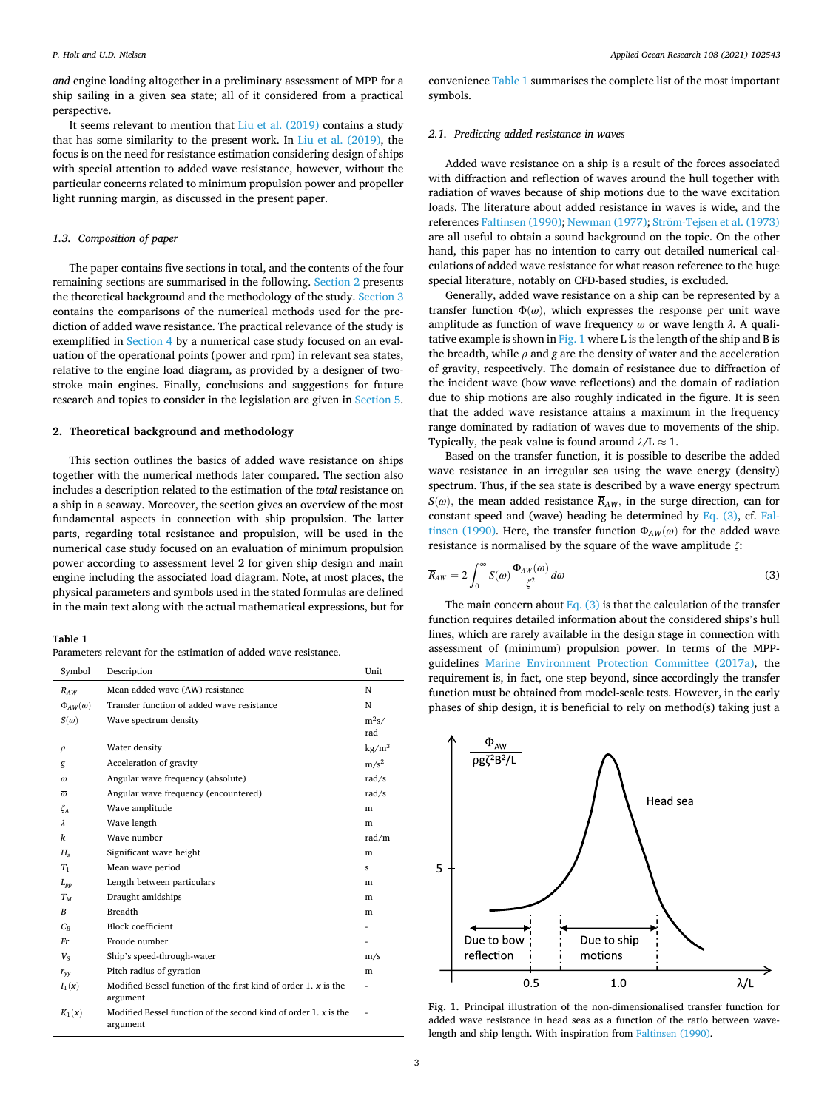<span id="page-2-0"></span>*and* engine loading altogether in a preliminary assessment of MPP for a ship sailing in a given sea state; all of it considered from a practical perspective.

It seems relevant to mention that [Liu et al. \(2019\)](#page-11-0) contains a study that has some similarity to the present work. In [Liu et al. \(2019\)](#page-11-0), the focus is on the need for resistance estimation considering design of ships with special attention to added wave resistance, however, without the particular concerns related to minimum propulsion power and propeller light running margin, as discussed in the present paper.

## *1.3. Composition of paper*

The paper contains five sections in total, and the contents of the four remaining sections are summarised in the following. Section 2 presents the theoretical background and the methodology of the study. [Section 3](#page-6-0)  contains the comparisons of the numerical methods used for the prediction of added wave resistance. The practical relevance of the study is exemplified in [Section 4](#page-7-0) by a numerical case study focused on an evaluation of the operational points (power and rpm) in relevant sea states, relative to the engine load diagram, as provided by a designer of twostroke main engines. Finally, conclusions and suggestions for future research and topics to consider in the legislation are given in [Section 5](#page-9-0).

## **2. Theoretical background and methodology**

This section outlines the basics of added wave resistance on ships together with the numerical methods later compared. The section also includes a description related to the estimation of the *total* resistance on a ship in a seaway. Moreover, the section gives an overview of the most fundamental aspects in connection with ship propulsion. The latter parts, regarding total resistance and propulsion, will be used in the numerical case study focused on an evaluation of minimum propulsion power according to assessment level 2 for given ship design and main engine including the associated load diagram. Note, at most places, the physical parameters and symbols used in the stated formulas are defined in the main text along with the actual mathematical expressions, but for

#### **Table 1**

| Parameters relevant for the estimation of added wave resistance. |  |
|------------------------------------------------------------------|--|
|------------------------------------------------------------------|--|

| Symbol              | Description                                                                   | Unit              |
|---------------------|-------------------------------------------------------------------------------|-------------------|
| $\overline{R}_{AW}$ | Mean added wave (AW) resistance                                               | N                 |
| $\Phi_{AW}(\omega)$ | Transfer function of added wave resistance                                    | N                 |
| $S(\omega)$         | Wave spectrum density                                                         | $m^2s/$<br>rad    |
| $\rho$              | Water density                                                                 | kg/m <sup>3</sup> |
| g                   | Acceleration of gravity                                                       | $m/s^2$           |
| ω                   | Angular wave frequency (absolute)                                             | rad/s             |
| $\overline{a}$      | Angular wave frequency (encountered)                                          | rad/s             |
| $\zeta_A$           | Wave amplitude                                                                | m                 |
| $\lambda$           | Wave length                                                                   | m                 |
| k                   | Wave number                                                                   | rad/m             |
| $H_s$               | Significant wave height                                                       | m                 |
| $T_1$               | Mean wave period                                                              | s                 |
| $L_{pp}$            | Length between particulars                                                    | m                 |
| $T_M$               | Draught amidships                                                             | m                 |
| B                   | <b>Breadth</b>                                                                | m                 |
| $C_R$               | <b>Block coefficient</b>                                                      |                   |
| Fr                  | Froude number                                                                 |                   |
| $V_{S}$             | Ship's speed-through-water                                                    | m/s               |
| $r_{yy}$            | Pitch radius of gyration                                                      | m                 |
| $I_1(x)$            | Modified Bessel function of the first kind of order $1, x$ is the<br>argument |                   |
| $K_1(x)$            | Modified Bessel function of the second kind of order 1, x is the<br>argument  |                   |

convenience Table 1 summarises the complete list of the most important symbols.

## *2.1. Predicting added resistance in waves*

Added wave resistance on a ship is a result of the forces associated with diffraction and reflection of waves around the hull together with radiation of waves because of ship motions due to the wave excitation loads. The literature about added resistance in waves is wide, and the references [Faltinsen \(1990\);](#page-10-0) Newman (1977); Ström-Tejsen et al. (1973) are all useful to obtain a sound background on the topic. On the other hand, this paper has no intention to carry out detailed numerical calculations of added wave resistance for what reason reference to the huge special literature, notably on CFD-based studies, is excluded.

Generally, added wave resistance on a ship can be represented by a transfer function  $\Phi(\omega)$ , which expresses the response per unit wave amplitude as function of wave frequency *ω* or wave length *λ*. A qualitative example is shown in Fig. 1 where L is the length of the ship and B is the breadth, while  $\rho$  and  $g$  are the density of water and the acceleration of gravity, respectively. The domain of resistance due to diffraction of the incident wave (bow wave reflections) and the domain of radiation due to ship motions are also roughly indicated in the figure. It is seen that the added wave resistance attains a maximum in the frequency range dominated by radiation of waves due to movements of the ship. Typically, the peak value is found around  $\lambda/L \approx 1$ .

Based on the transfer function, it is possible to describe the added wave resistance in an irregular sea using the wave energy (density) spectrum. Thus, if the sea state is described by a wave energy spectrum  $S(\omega)$ , the mean added resistance  $\overline{R}_{AW}$ , in the surge direction, can for constant speed and (wave) heading be determined by Eq.  $(3)$ , cf. [Fal](#page-10-0)[tinsen \(1990\).](#page-10-0) Here, the transfer function  $\Phi_{AW}(\omega)$  for the added wave resistance is normalised by the square of the wave amplitude *ζ*:

$$
\overline{R}_{AW} = 2 \int_0^\infty S(\omega) \frac{\Phi_{AW}(\omega)}{\zeta^2} d\omega \tag{3}
$$

The main concern about Eq.  $(3)$  is that the calculation of the transfer function requires detailed information about the considered ships's hull lines, which are rarely available in the design stage in connection with assessment of (minimum) propulsion power. In terms of the MPPguidelines [Marine Environment Protection Committee \(2017a\),](#page-11-0) the requirement is, in fact, one step beyond, since accordingly the transfer function must be obtained from model-scale tests. However, in the early phases of ship design, it is beneficial to rely on method(s) taking just a



Fig. 1. Principal illustration of the non-dimensionalised transfer function for added wave resistance in head seas as a function of the ratio between wavelength and ship length. With inspiration from [Faltinsen \(1990\).](#page-10-0)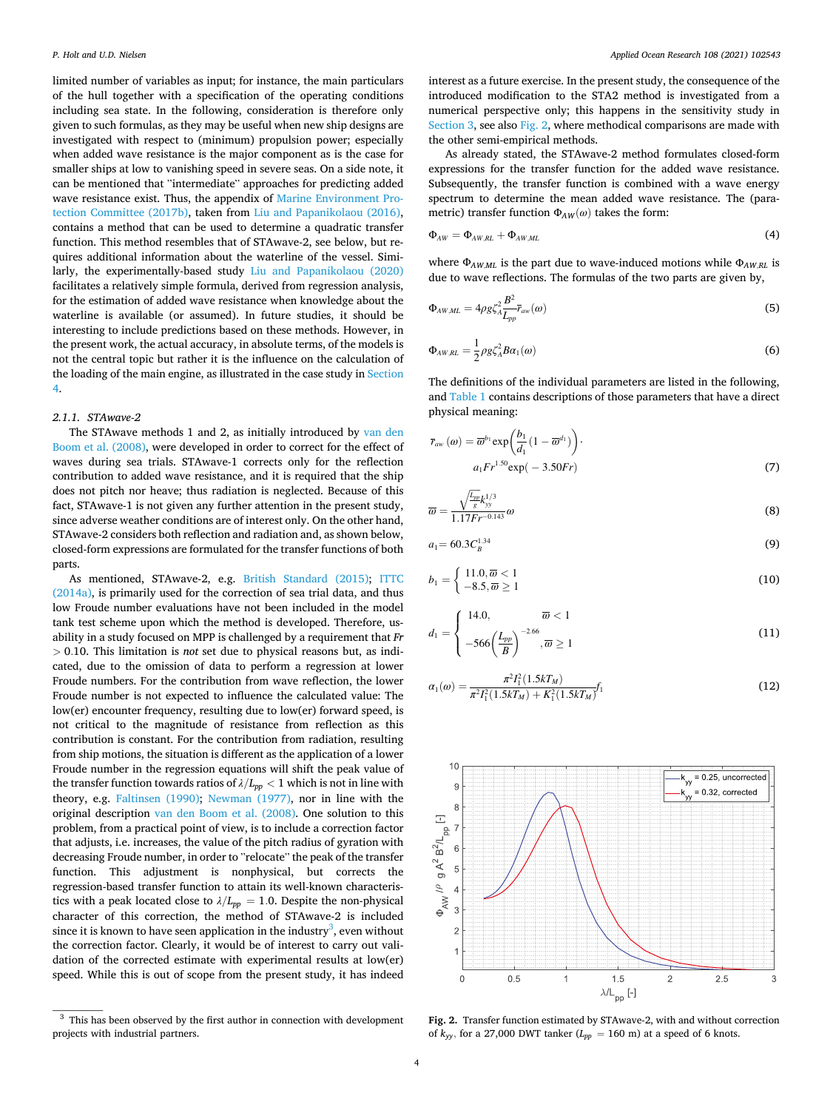<span id="page-3-0"></span>limited number of variables as input; for instance, the main particulars of the hull together with a specification of the operating conditions including sea state. In the following, consideration is therefore only given to such formulas, as they may be useful when new ship designs are investigated with respect to (minimum) propulsion power; especially when added wave resistance is the major component as is the case for smaller ships at low to vanishing speed in severe seas. On a side note, it can be mentioned that "intermediate" approaches for predicting added wave resistance exist. Thus, the appendix of [Marine Environment Pro](#page-11-0)[tection Committee \(2017b\),](#page-11-0) taken from [Liu and Papanikolaou \(2016\)](#page-11-0), contains a method that can be used to determine a quadratic transfer function. This method resembles that of STAwave-2, see below, but requires additional information about the waterline of the vessel. Similarly, the experimentally-based study [Liu and Papanikolaou \(2020\)](#page-11-0)  facilitates a relatively simple formula, derived from regression analysis, for the estimation of added wave resistance when knowledge about the waterline is available (or assumed). In future studies, it should be interesting to include predictions based on these methods. However, in the present work, the actual accuracy, in absolute terms, of the models is not the central topic but rather it is the influence on the calculation of the loading of the main engine, as illustrated in the case study in [Section](#page-7-0)  [4](#page-7-0).

## *2.1.1. STAwave-2*

The STAwave methods 1 and 2, as initially introduced by [van den](#page-11-0)  [Boom et al. \(2008\)](#page-11-0), were developed in order to correct for the effect of waves during sea trials. STAwave-1 corrects only for the reflection contribution to added wave resistance, and it is required that the ship does not pitch nor heave; thus radiation is neglected. Because of this fact, STAwave-1 is not given any further attention in the present study, since adverse weather conditions are of interest only. On the other hand, STAwave-2 considers both reflection and radiation and, as shown below, closed-form expressions are formulated for the transfer functions of both parts.

As mentioned, STAwave-2, e.g. [British Standard \(2015\);](#page-10-0) [ITTC](#page-10-0)  [\(2014a\),](#page-10-0) is primarily used for the correction of sea trial data, and thus low Froude number evaluations have not been included in the model tank test scheme upon which the method is developed. Therefore, usability in a study focused on MPP is challenged by a requirement that *Fr >* 0*.*10. This limitation is *not* set due to physical reasons but, as indicated, due to the omission of data to perform a regression at lower Froude numbers. For the contribution from wave reflection, the lower Froude number is not expected to influence the calculated value: The low(er) encounter frequency, resulting due to low(er) forward speed, is not critical to the magnitude of resistance from reflection as this contribution is constant. For the contribution from radiation, resulting from ship motions, the situation is different as the application of a lower Froude number in the regression equations will shift the peak value of the transfer function towards ratios of  $\lambda/L_{pp} < 1$  which is not in line with theory, e.g. [Faltinsen \(1990\);](#page-10-0) [Newman \(1977\),](#page-11-0) nor in line with the original description [van den Boom et al. \(2008\)](#page-11-0). One solution to this problem, from a practical point of view, is to include a correction factor that adjusts, i.e. increases, the value of the pitch radius of gyration with decreasing Froude number, in order to "relocate" the peak of the transfer function. This adjustment is nonphysical, but corrects the regression-based transfer function to attain its well-known characteristics with a peak located close to  $\lambda/L_{pp} = 1.0$ . Despite the non-physical character of this correction, the method of STAwave-2 is included since it is known to have seen application in the industry<sup>3</sup>, even without the correction factor. Clearly, it would be of interest to carry out validation of the corrected estimate with experimental results at low(er) speed. While this is out of scope from the present study, it has indeed

interest as a future exercise. In the present study, the consequence of the introduced modification to the STA2 method is investigated from a numerical perspective only; this happens in the sensitivity study in [Section 3,](#page-6-0) see also Fig. 2, where methodical comparisons are made with the other semi-empirical methods.

As already stated, the STAwave-2 method formulates closed-form expressions for the transfer function for the added wave resistance. Subsequently, the transfer function is combined with a wave energy spectrum to determine the mean added wave resistance. The (parametric) transfer function  $\Phi_{AW}(\omega)$  takes the form:

$$
\Phi_{AW} = \Phi_{AW,RL} + \Phi_{AW,ML} \tag{4}
$$

where Φ*AW,ML* is the part due to wave-induced motions while Φ*AW,RL* is due to wave reflections. The formulas of the two parts are given by,

$$
\Phi_{AW,ML} = 4\rho g \zeta_A^2 \frac{B^2}{L_{pp}} \bar{r}_{aw}(\omega)
$$
\n(5)

$$
\Phi_{AW,RL} = \frac{1}{2} \rho g \zeta_A^2 B \alpha_1(\omega) \tag{6}
$$

The definitions of the individual parameters are listed in the following, and [Table 1](#page-2-0) contains descriptions of those parameters that have a direct physical meaning:

$$
\overline{r}_{aw}(\omega) = \overline{\omega}^{b_1} \exp\left(\frac{b_1}{d_1}(1 - \overline{\omega}^{d_1})\right).
$$
  

$$
a_1 Fr^{1.50} \exp(-3.50Fr)
$$
\n(7)

$$
\overline{\omega} = \frac{\sqrt{\frac{L_{pp}}{g}} k_{yy}^{1/3}}{1.17 Fr^{-0.143}} \omega \tag{8}
$$

$$
a_1 = 60.3 C_B^{1.34}
$$
 (9)

$$
b_1 = \begin{cases} 11.0, \overline{\omega} < 1 \\ -8.5, \overline{\omega} \ge 1 \end{cases} \tag{10}
$$

$$
d_1 = \begin{cases} 14.0, & \overline{\omega} < 1 \\ -566 \left(\frac{L_{pp}}{B}\right)^{-2.66}, & \overline{\omega} \ge 1 \end{cases}
$$
 (11)

$$
\alpha_1(\omega) = \frac{\pi^2 I_1^2 (1.5kT_M)}{\pi^2 I_1^2 (1.5kT_M) + K_1^2 (1.5kT_M)} f_1
$$
\n(12)



**Fig. 2.** Transfer function estimated by STAwave-2, with and without correction of  $k_{yy}$ , for a 27,000 DWT tanker ( $L_{pp} = 160$  m) at a speed of 6 knots.

 $^3\,$  This has been observed by the first author in connection with development projects with industrial partners.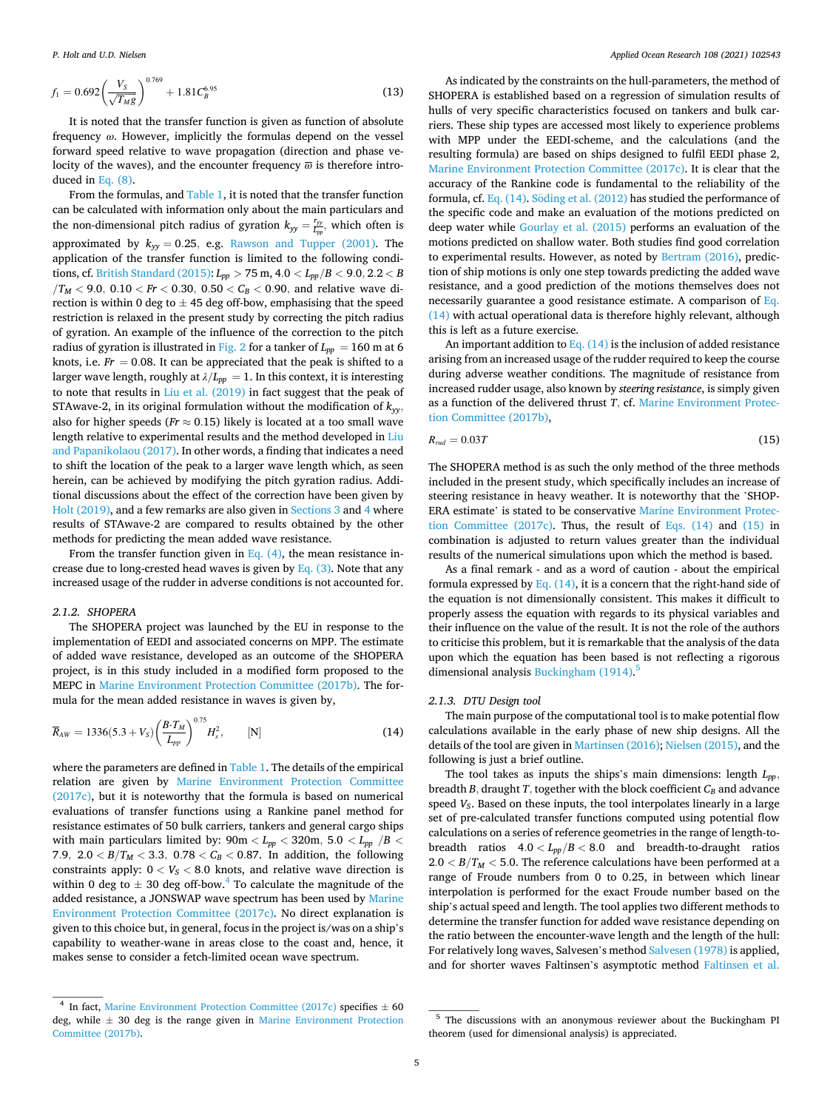<span id="page-4-0"></span>
$$
f_1 = 0.692 \left(\frac{V_S}{\sqrt{T_{MS}}}\right)^{0.769} + 1.81 C_B^{6.95}
$$
 (13)

It is noted that the transfer function is given as function of absolute frequency *ω*. However, implicitly the formulas depend on the vessel forward speed relative to wave propagation (direction and phase velocity of the waves), and the encounter frequency  $\bar{\omega}$  is therefore introduced in [Eq. \(8\).](#page-3-0)

From the formulas, and [Table 1,](#page-2-0) it is noted that the transfer function can be calculated with information only about the main particulars and the non-dimensional pitch radius of gyration  $k_{yy} = \frac{r_{yy}}{L_{pp}}$ , which often is approximated by  $k_{yy} = 0.25$ , e.g. [Rawson and Tupper \(2001\)](#page-11-0). The application of the transfer function is limited to the following conditions, cf. [British Standard \(2015\):](#page-10-0) *Lpp >* 75 m, 4*.*0 *< Lpp/B <* 9*.*0*,* 2*.*2 *< B*   $/T_M$  < 9.0, 0.10 < *Fr* < 0.30, 0.50 <  $C_B$  < 0.90, and relative wave direction is within 0 deg to  $\pm$  45 deg off-bow, emphasising that the speed restriction is relaxed in the present study by correcting the pitch radius of gyration. An example of the influence of the correction to the pitch radius of gyration is illustrated in [Fig. 2](#page-3-0) for a tanker of  $L_{pp} = 160$  m at 6 knots, i.e.  $Fr = 0.08$ . It can be appreciated that the peak is shifted to a larger wave length, roughly at  $\lambda/L_{pp} = 1.$  In this context, it is interesting to note that results in [Liu et al. \(2019\)](#page-11-0) in fact suggest that the peak of STAwave-2, in its original formulation without the modification of  $k_{\rm w}$ , also for higher speeds ( $Fr \approx 0.15$ ) likely is located at a too small wave length relative to experimental results and the method developed in [Liu](#page-11-0)  [and Papanikolaou \(2017\)](#page-11-0). In other words, a finding that indicates a need to shift the location of the peak to a larger wave length which, as seen herein, can be achieved by modifying the pitch gyration radius. Additional discussions about the effect of the correction have been given by [Holt \(2019\),](#page-10-0) and a few remarks are also given in [Sections 3](#page-6-0) and [4](#page-7-0) where results of STAwave-2 are compared to results obtained by the other methods for predicting the mean added wave resistance.

From the transfer function given in Eq.  $(4)$ , the mean resistance increase due to long-crested head waves is given by  $Eq. (3)$ . Note that any increased usage of the rudder in adverse conditions is not accounted for.

#### *2.1.2. SHOPERA*

The SHOPERA project was launched by the EU in response to the implementation of EEDI and associated concerns on MPP. The estimate of added wave resistance, developed as an outcome of the SHOPERA project, is in this study included in a modified form proposed to the MEPC in [Marine Environment Protection Committee \(2017b\)](#page-11-0). The formula for the mean added resistance in waves is given by,

$$
\overline{R}_{AW} = 1336(5.3 + V_S) \left(\frac{B \cdot T_M}{L_{pp}}\right)^{0.75} H_s^2, \qquad [N] \tag{14}
$$

where the parameters are defined in [Table 1](#page-2-0). The details of the empirical relation are given by [Marine Environment Protection Committee](#page-11-0)  [\(2017c\)](#page-11-0), but it is noteworthy that the formula is based on numerical evaluations of transfer functions using a Rankine panel method for resistance estimates of 50 bulk carriers, tankers and general cargo ships with main particulars limited by:  $90\text{m} < L_{pp} < 320\text{m}, \; 5.0 < L_{pp}$   $/B <$ 7.9,  $2.0 < B/T_M < 3.3$ ,  $0.78 < C_B < 0.87$ . In addition, the following constraints apply:  $0 < V_S < 8.0$  knots, and relative wave direction is within 0 deg to  $\pm$  30 deg off-bow.<sup>4</sup> To calculate the magnitude of the added resistance, a JONSWAP wave spectrum has been used by [Marine](#page-11-0)  [Environment Protection Committee \(2017c\).](#page-11-0) No direct explanation is given to this choice but, in general, focus in the project is/was on a ship's capability to weather-wane in areas close to the coast and, hence, it makes sense to consider a fetch-limited ocean wave spectrum.

As indicated by the constraints on the hull-parameters, the method of SHOPERA is established based on a regression of simulation results of hulls of very specific characteristics focused on tankers and bulk carriers. These ship types are accessed most likely to experience problems with MPP under the EEDI-scheme, and the calculations (and the resulting formula) are based on ships designed to fulfil EEDI phase 2, [Marine Environment Protection Committee \(2017c\).](#page-11-0) It is clear that the accuracy of the Rankine code is fundamental to the reliability of the formula, cf. Eq.  $(14)$ . Söding et al.  $(2012)$  has studied the performance of the specific code and make an evaluation of the motions predicted on deep water while [Gourlay et al. \(2015\)](#page-10-0) performs an evaluation of the motions predicted on shallow water. Both studies find good correlation to experimental results. However, as noted by [Bertram \(2016\)](#page-10-0), prediction of ship motions is only one step towards predicting the added wave resistance, and a good prediction of the motions themselves does not necessarily guarantee a good resistance estimate. A comparison of Eq. (14) with actual operational data is therefore highly relevant, although this is left as a future exercise.

An important addition to Eq.  $(14)$  is the inclusion of added resistance arising from an increased usage of the rudder required to keep the course during adverse weather conditions. The magnitude of resistance from increased rudder usage, also known by *steering resistance*, is simply given as a function of the delivered thrust *T,* cf. [Marine Environment Protec](#page-11-0)[tion Committee \(2017b\)](#page-11-0),

$$
R_{\text{rud}} = 0.03T\tag{15}
$$

The SHOPERA method is as such the only method of the three methods included in the present study, which specifically includes an increase of steering resistance in heavy weather. It is noteworthy that the 'SHOP-ERA estimate' is stated to be conservative [Marine Environment Protec](#page-11-0)[tion Committee \(2017c\)](#page-11-0). Thus, the result of Eqs. (14) and (15) in combination is adjusted to return values greater than the individual results of the numerical simulations upon which the method is based.

As a final remark - and as a word of caution - about the empirical formula expressed by Eq.  $(14)$ , it is a concern that the right-hand side of the equation is not dimensionally consistent. This makes it difficult to properly assess the equation with regards to its physical variables and their influence on the value of the result. It is not the role of the authors to criticise this problem, but it is remarkable that the analysis of the data upon which the equation has been based is not reflecting a rigorous dimensional analysis [Buckingham \(1914\).](#page-10-0)<sup>5</sup>

#### *2.1.3. DTU Design tool*

The main purpose of the computational tool is to make potential flow calculations available in the early phase of new ship designs. All the details of the tool are given in [Martinsen \(2016\)](#page-11-0); [Nielsen \(2015\),](#page-11-0) and the following is just a brief outline.

The tool takes as inputs the ships's main dimensions: length *Lpp,* breadth *B*, draught *T*, together with the block coefficient  $C_B$  and advance speed *V<sub>S</sub>*. Based on these inputs, the tool interpolates linearly in a large set of pre-calculated transfer functions computed using potential flow calculations on a series of reference geometries in the range of length-tobreadth ratios 4*.*0 *< Lpp/B <* 8*.*0 and breadth-to-draught ratios  $2.0 < B/T_M < 5.0$ . The reference calculations have been performed at a range of Froude numbers from 0 to 0.25, in between which linear interpolation is performed for the exact Froude number based on the ship's actual speed and length. The tool applies two different methods to determine the transfer function for added wave resistance depending on the ratio between the encounter-wave length and the length of the hull: For relatively long waves, Salvesen's method [Salvesen \(1978\)](#page-11-0) is applied, and for shorter waves Faltinsen's asymptotic method [Faltinsen et al.](#page-10-0) 

<sup>&</sup>lt;sup>4</sup> In fact, [Marine Environment Protection Committee \(2017c\)](#page-11-0) specifies  $\pm$  60 deg, while  $\pm$  30 deg is the range given in Marine Environment Protection [Committee \(2017b\)](#page-11-0).

<sup>5</sup> The discussions with an anonymous reviewer about the Buckingham PI theorem (used for dimensional analysis) is appreciated.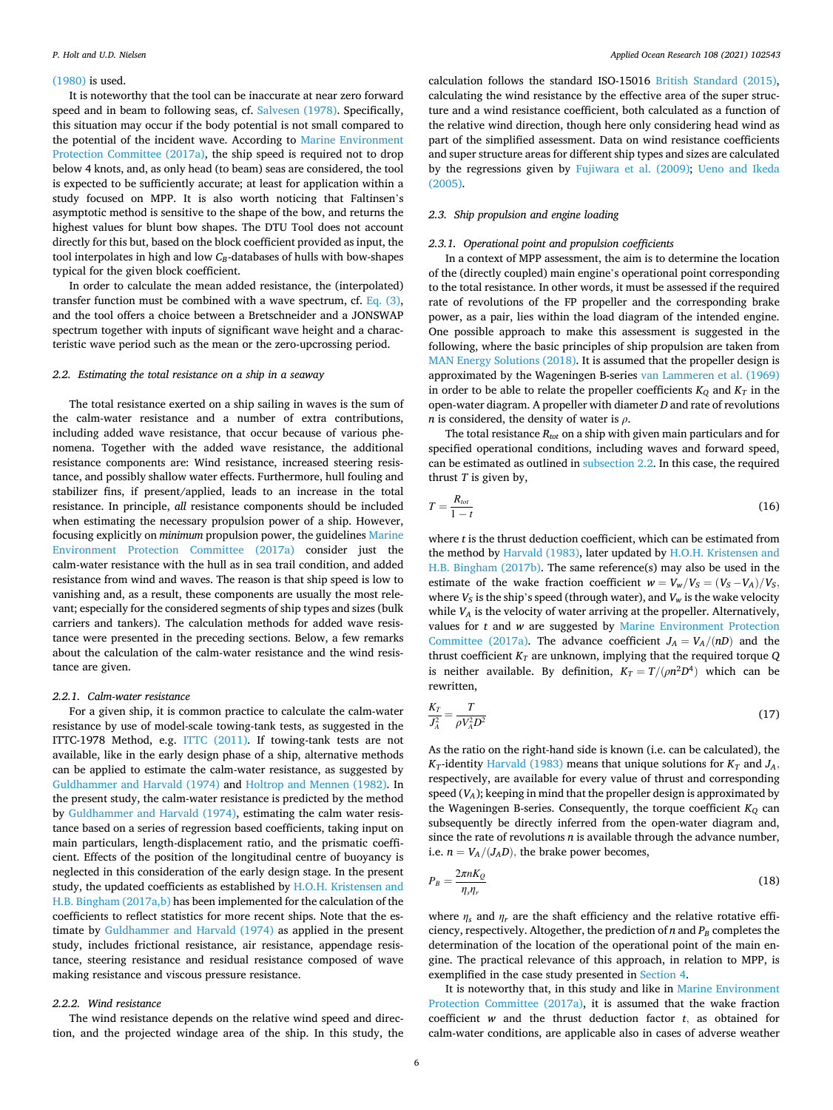#### <span id="page-5-0"></span>[\(1980\)](#page-10-0) is used.

It is noteworthy that the tool can be inaccurate at near zero forward speed and in beam to following seas, cf. [Salvesen \(1978\)](#page-11-0). Specifically, this situation may occur if the body potential is not small compared to the potential of the incident wave. According to [Marine Environment](#page-11-0)  [Protection Committee \(2017a\)](#page-11-0), the ship speed is required not to drop below 4 knots, and, as only head (to beam) seas are considered, the tool is expected to be sufficiently accurate; at least for application within a study focused on MPP. It is also worth noticing that Faltinsen's asymptotic method is sensitive to the shape of the bow, and returns the highest values for blunt bow shapes. The DTU Tool does not account directly for this but, based on the block coefficient provided as input, the tool interpolates in high and low *C<sub>B</sub>*-databases of hulls with bow-shapes typical for the given block coefficient.

In order to calculate the mean added resistance, the (interpolated) transfer function must be combined with a wave spectrum, cf. Eq.  $(3)$ , and the tool offers a choice between a Bretschneider and a JONSWAP spectrum together with inputs of significant wave height and a characteristic wave period such as the mean or the zero-upcrossing period.

## *2.2. Estimating the total resistance on a ship in a seaway*

The total resistance exerted on a ship sailing in waves is the sum of the calm-water resistance and a number of extra contributions, including added wave resistance, that occur because of various phenomena. Together with the added wave resistance, the additional resistance components are: Wind resistance, increased steering resistance, and possibly shallow water effects. Furthermore, hull fouling and stabilizer fins, if present/applied, leads to an increase in the total resistance. In principle, *all* resistance components should be included when estimating the necessary propulsion power of a ship. However, focusing explicitly on *minimum* propulsion power, the guidelines [Marine](#page-11-0)  [Environment Protection Committee \(2017a\)](#page-11-0) consider just the calm-water resistance with the hull as in sea trail condition, and added resistance from wind and waves. The reason is that ship speed is low to vanishing and, as a result, these components are usually the most relevant; especially for the considered segments of ship types and sizes (bulk carriers and tankers). The calculation methods for added wave resistance were presented in the preceding sections. Below, a few remarks about the calculation of the calm-water resistance and the wind resistance are given.

#### *2.2.1. Calm-water resistance*

For a given ship, it is common practice to calculate the calm-water resistance by use of model-scale towing-tank tests, as suggested in the ITTC-1978 Method, e.g. [ITTC \(2011\).](#page-10-0) If towing-tank tests are not available, like in the early design phase of a ship, alternative methods can be applied to estimate the calm-water resistance, as suggested by [Guldhammer and Harvald \(1974\)](#page-10-0) and [Holtrop and Mennen \(1982\).](#page-10-0) In the present study, the calm-water resistance is predicted by the method by [Guldhammer and Harvald \(1974\),](#page-10-0) estimating the calm water resistance based on a series of regression based coefficients, taking input on main particulars, length-displacement ratio, and the prismatic coefficient. Effects of the position of the longitudinal centre of buoyancy is neglected in this consideration of the early design stage. In the present study, the updated coefficients as established by [H.O.H. Kristensen and](#page-10-0)  [H.B. Bingham \(2017a,b\)](#page-10-0) has been implemented for the calculation of the coefficients to reflect statistics for more recent ships. Note that the estimate by [Guldhammer and Harvald \(1974\)](#page-10-0) as applied in the present study, includes frictional resistance, air resistance, appendage resistance, steering resistance and residual resistance composed of wave making resistance and viscous pressure resistance.

## *2.2.2. Wind resistance*

The wind resistance depends on the relative wind speed and direction, and the projected windage area of the ship. In this study, the

calculation follows the standard ISO-15016 [British Standard \(2015\)](#page-10-0), calculating the wind resistance by the effective area of the super structure and a wind resistance coefficient, both calculated as a function of the relative wind direction, though here only considering head wind as part of the simplified assessment. Data on wind resistance coefficients and super structure areas for different ship types and sizes are calculated by the regressions given by [Fujiwara et al. \(2009\)](#page-10-0); [Ueno and Ikeda](#page-11-0)  [\(2005\).](#page-11-0)

## *2.3. Ship propulsion and engine loading*

## *2.3.1. Operational point and propulsion coefficients*

In a context of MPP assessment, the aim is to determine the location of the (directly coupled) main engine's operational point corresponding to the total resistance. In other words, it must be assessed if the required rate of revolutions of the FP propeller and the corresponding brake power, as a pair, lies within the load diagram of the intended engine. One possible approach to make this assessment is suggested in the following, where the basic principles of ship propulsion are taken from [MAN Energy Solutions \(2018\)](#page-11-0). It is assumed that the propeller design is approximated by the Wageningen B-series [van Lammeren et al. \(1969\)](#page-11-0)  in order to be able to relate the propeller coefficients  $K_Q$  and  $K_T$  in the open-water diagram. A propeller with diameter *D* and rate of revolutions *n* is considered, the density of water is *ρ*.

The total resistance *Rtot* on a ship with given main particulars and for specified operational conditions, including waves and forward speed, can be estimated as outlined in subsection 2.2. In this case, the required thrust *T* is given by,

$$
T = \frac{R_{tot}}{1 - t} \tag{16}
$$

where *t* is the thrust deduction coefficient, which can be estimated from the method by [Harvald \(1983\)](#page-10-0), later updated by [H.O.H. Kristensen and](#page-10-0)  [H.B. Bingham \(2017b\).](#page-10-0) The same reference(s) may also be used in the estimate of the wake fraction coefficient  $w = V_w/V_s = (V_s - V_A)/V_s$ , where  $V_S$  is the ship's speed (through water), and  $V_w$  is the wake velocity while *VA* is the velocity of water arriving at the propeller. Alternatively, values for *t* and *w* are suggested by [Marine Environment Protection](#page-11-0)  [Committee \(2017a\).](#page-11-0) The advance coefficient  $J_A = V_A/(nD)$  and the thrust coefficient  $K_T$  are unknown, implying that the required torque  $Q$ is neither available. By definition,  $K_T = T/(\rho n^2 D^4)$  which can be rewritten,

$$
\frac{K_T}{J_A^2} = \frac{T}{\rho V_A^2 D^2} \tag{17}
$$

As the ratio on the right-hand side is known (i.e. can be calculated), the *K*<sub>T</sub>-identity [Harvald \(1983\)](#page-10-0) means that unique solutions for  $K_T$  and  $J_A$ , respectively, are available for every value of thrust and corresponding speed (*VA*); keeping in mind that the propeller design is approximated by the Wageningen B-series. Consequently, the torque coefficient  $K_Q$  can subsequently be directly inferred from the open-water diagram and, since the rate of revolutions *n* is available through the advance number, i.e.  $n = V_A/(J_A D)$ , the brake power becomes,

$$
P_B = \frac{2\pi n K_Q}{\eta_s \eta_r} \tag{18}
$$

where  $\eta_s$  and  $\eta_r$  are the shaft efficiency and the relative rotative efficiency, respectively. Altogether, the prediction of  $n$  and  $P_B$  completes the determination of the location of the operational point of the main engine. The practical relevance of this approach, in relation to MPP, is exemplified in the case study presented in [Section 4.](#page-7-0)

It is noteworthy that, in this study and like in [Marine Environment](#page-11-0)  [Protection Committee \(2017a\)](#page-11-0), it is assumed that the wake fraction coefficient *w* and the thrust deduction factor *t,* as obtained for calm-water conditions, are applicable also in cases of adverse weather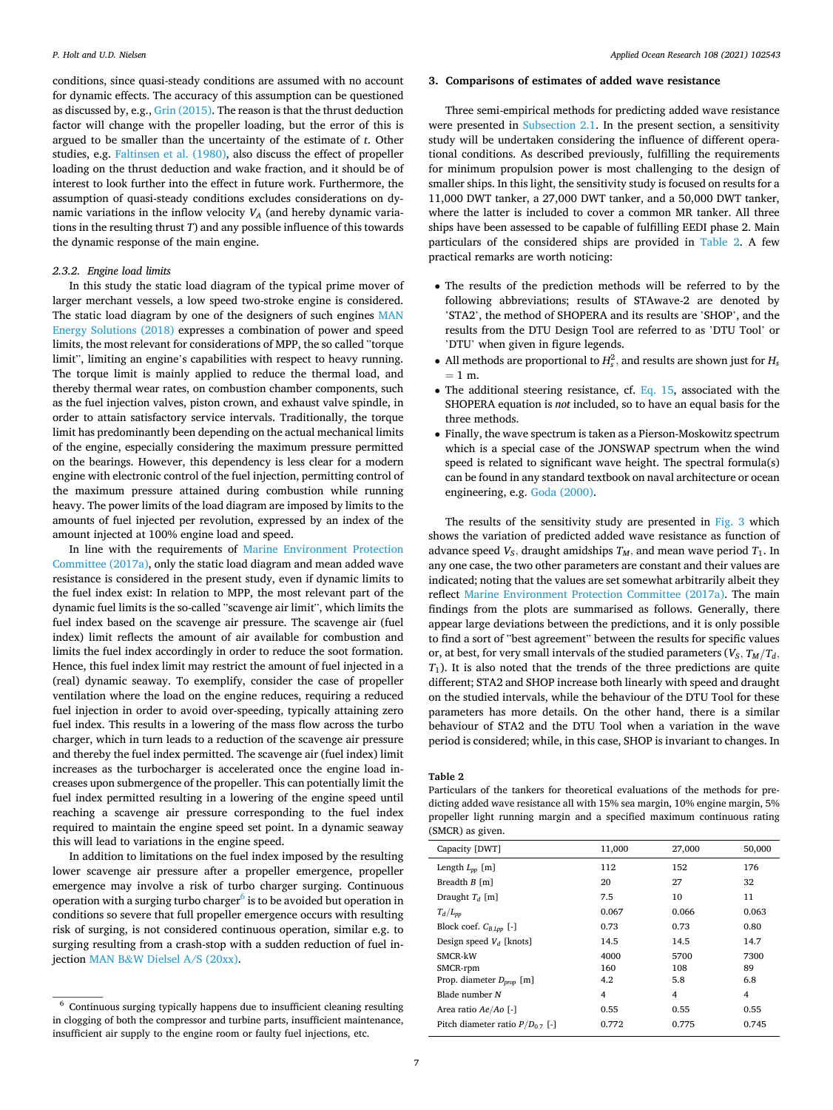<span id="page-6-0"></span>conditions, since quasi-steady conditions are assumed with no account for dynamic effects. The accuracy of this assumption can be questioned as discussed by, e.g., [Grin \(2015\).](#page-10-0) The reason is that the thrust deduction factor will change with the propeller loading, but the error of this is argued to be smaller than the uncertainty of the estimate of *t*. Other studies, e.g. [Faltinsen et al. \(1980\),](#page-10-0) also discuss the effect of propeller loading on the thrust deduction and wake fraction, and it should be of interest to look further into the effect in future work. Furthermore, the assumption of quasi-steady conditions excludes considerations on dynamic variations in the inflow velocity  $V_A$  (and hereby dynamic variations in the resulting thrust *T*) and any possible influence of this towards the dynamic response of the main engine.

#### *2.3.2. Engine load limits*

In this study the static load diagram of the typical prime mover of larger merchant vessels, a low speed two-stroke engine is considered. The static load diagram by one of the designers of such engines [MAN](#page-11-0)  [Energy Solutions \(2018\)](#page-11-0) expresses a combination of power and speed limits, the most relevant for considerations of MPP, the so called "torque limit", limiting an engine's capabilities with respect to heavy running. The torque limit is mainly applied to reduce the thermal load, and thereby thermal wear rates, on combustion chamber components, such as the fuel injection valves, piston crown, and exhaust valve spindle, in order to attain satisfactory service intervals. Traditionally, the torque limit has predominantly been depending on the actual mechanical limits of the engine, especially considering the maximum pressure permitted on the bearings. However, this dependency is less clear for a modern engine with electronic control of the fuel injection, permitting control of the maximum pressure attained during combustion while running heavy. The power limits of the load diagram are imposed by limits to the amounts of fuel injected per revolution, expressed by an index of the amount injected at 100% engine load and speed.

In line with the requirements of [Marine Environment Protection](#page-11-0)  [Committee \(2017a\)](#page-11-0), only the static load diagram and mean added wave resistance is considered in the present study, even if dynamic limits to the fuel index exist: In relation to MPP, the most relevant part of the dynamic fuel limits is the so-called "scavenge air limit", which limits the fuel index based on the scavenge air pressure. The scavenge air (fuel index) limit reflects the amount of air available for combustion and limits the fuel index accordingly in order to reduce the soot formation. Hence, this fuel index limit may restrict the amount of fuel injected in a (real) dynamic seaway. To exemplify, consider the case of propeller ventilation where the load on the engine reduces, requiring a reduced fuel injection in order to avoid over-speeding, typically attaining zero fuel index. This results in a lowering of the mass flow across the turbo charger, which in turn leads to a reduction of the scavenge air pressure and thereby the fuel index permitted. The scavenge air (fuel index) limit increases as the turbocharger is accelerated once the engine load increases upon submergence of the propeller. This can potentially limit the fuel index permitted resulting in a lowering of the engine speed until reaching a scavenge air pressure corresponding to the fuel index required to maintain the engine speed set point. In a dynamic seaway this will lead to variations in the engine speed.

In addition to limitations on the fuel index imposed by the resulting lower scavenge air pressure after a propeller emergence, propeller emergence may involve a risk of turbo charger surging. Continuous operation with a surging turbo charger $\delta$  is to be avoided but operation in conditions so severe that full propeller emergence occurs with resulting risk of surging, is not considered continuous operation, similar e.g. to surging resulting from a crash-stop with a sudden reduction of fuel injection MAN B&[W Dielsel A/S \(20xx\)](#page-11-0).

## **3. Comparisons of estimates of added wave resistance**

Three semi-empirical methods for predicting added wave resistance were presented in [Subsection 2.1](#page-2-0). In the present section, a sensitivity study will be undertaken considering the influence of different operational conditions. As described previously, fulfilling the requirements for minimum propulsion power is most challenging to the design of smaller ships. In this light, the sensitivity study is focused on results for a 11,000 DWT tanker, a 27,000 DWT tanker, and a 50,000 DWT tanker, where the latter is included to cover a common MR tanker. All three ships have been assessed to be capable of fulfilling EEDI phase 2. Main particulars of the considered ships are provided in Table 2. A few practical remarks are worth noticing:

- The results of the prediction methods will be referred to by the following abbreviations; results of STAwave-2 are denoted by 'STA2', the method of SHOPERA and its results are 'SHOP', and the results from the DTU Design Tool are referred to as 'DTU Tool' or 'DTU' when given in figure legends.
- All methods are proportional to  $H_s^2$ , and results are shown just for  $H_s$  $= 1$  m.
- The additional steering resistance, cf. [Eq. 15,](#page-4-0) associated with the SHOPERA equation is *not* included, so to have an equal basis for the three methods.
- Finally, the wave spectrum is taken as a Pierson-Moskowitz spectrum which is a special case of the JONSWAP spectrum when the wind speed is related to significant wave height. The spectral formula(s) can be found in any standard textbook on naval architecture or ocean engineering, e.g. [Goda \(2000\)](#page-10-0).

The results of the sensitivity study are presented in [Fig. 3](#page-7-0) which shows the variation of predicted added wave resistance as function of advance speed  $V_s$ , draught amidships  $T_M$ , and mean wave period  $T_1$ . In any one case, the two other parameters are constant and their values are indicated; noting that the values are set somewhat arbitrarily albeit they reflect [Marine Environment Protection Committee \(2017a\)](#page-11-0). The main findings from the plots are summarised as follows. Generally, there appear large deviations between the predictions, and it is only possible to find a sort of "best agreement" between the results for specific values or, at best, for very small intervals of the studied parameters  $(V_S, T_M/T_d)$ *T*1). It is also noted that the trends of the three predictions are quite different; STA2 and SHOP increase both linearly with speed and draught on the studied intervals, while the behaviour of the DTU Tool for these parameters has more details. On the other hand, there is a similar behaviour of STA2 and the DTU Tool when a variation in the wave period is considered; while, in this case, SHOP is invariant to changes. In

## **Table 2**

Particulars of the tankers for theoretical evaluations of the methods for predicting added wave resistance all with 15% sea margin, 10% engine margin, 5% propeller light running margin and a specified maximum continuous rating (SMCR) as given.

| Capacity [DWT]                       | 11,000 | 27,000 | 50,000 |
|--------------------------------------|--------|--------|--------|
| Length $L_{pp}$ [m]                  | 112    | 152    | 176    |
| Breadth B [m]                        | 20     | 27     | 32     |
| Draught $T_d$ [m]                    | 7.5    | 10     | 11     |
| $T_d/L_{pp}$                         | 0.067  | 0.066  | 0.063  |
| Block coef. $C_{B,Lpp}$ [-]          | 0.73   | 0.73   | 0.80   |
| Design speed $V_d$ [knots]           | 14.5   | 14.5   | 14.7   |
| SMCR-kW                              | 4000   | 5700   | 7300   |
| SMCR-rpm                             | 160    | 108    | 89     |
| Prop. diameter $D_{prop}$ [m]        | 4.2    | 5.8    | 6.8    |
| Blade number N                       | 4      | 4      | 4      |
| Area ratio $Ae/Ao$ [-]               | 0.55   | 0.55   | 0.55   |
| Pitch diameter ratio $P/D_{0.7}$ [-] | 0.772  | 0.775  | 0.745  |
|                                      |        |        |        |

 $^{\rm 6}$  Continuous surging typically happens due to insufficient cleaning resulting in clogging of both the compressor and turbine parts, insufficient maintenance, insufficient air supply to the engine room or faulty fuel injections, etc.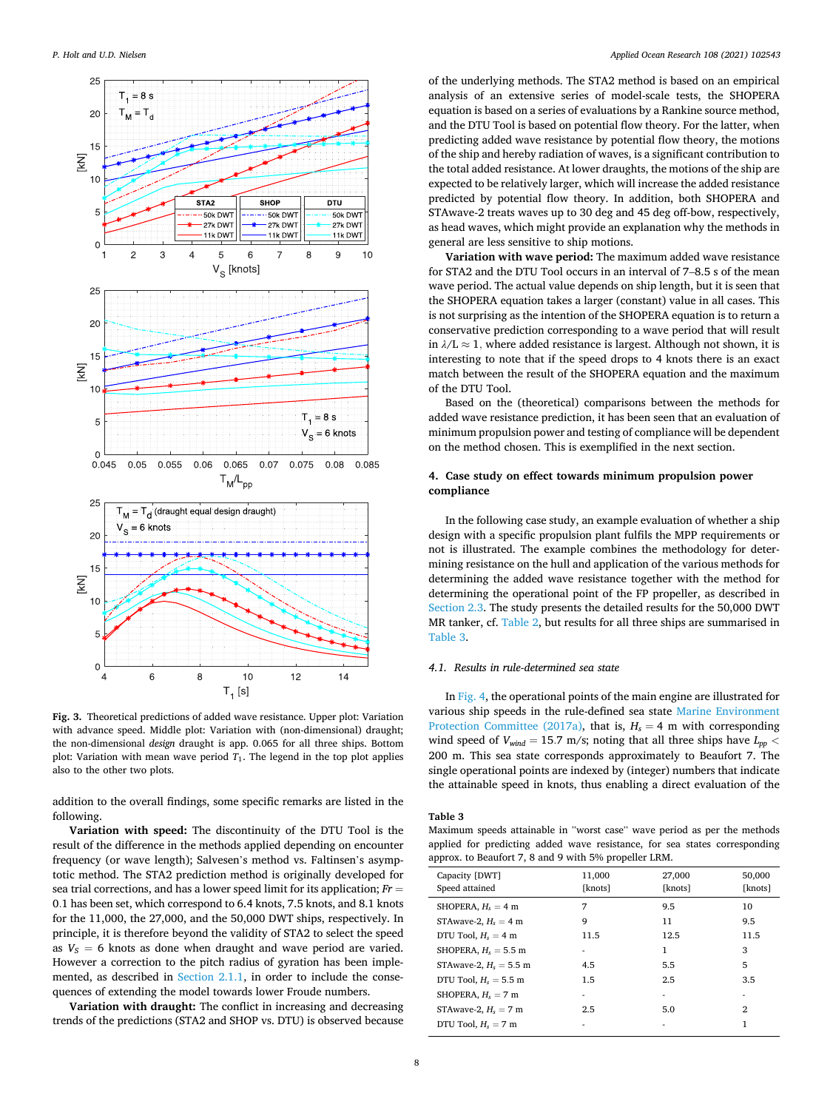<span id="page-7-0"></span>

**Fig. 3.** Theoretical predictions of added wave resistance. Upper plot: Variation with advance speed. Middle plot: Variation with (non-dimensional) draught; the non-dimensional *design* draught is app. 0.065 for all three ships. Bottom plot: Variation with mean wave period *T*1. The legend in the top plot applies also to the other two plots.

addition to the overall findings, some specific remarks are listed in the following.

**Variation with speed:** The discontinuity of the DTU Tool is the result of the difference in the methods applied depending on encounter frequency (or wave length); Salvesen's method vs. Faltinsen's asymptotic method. The STA2 prediction method is originally developed for sea trial corrections, and has a lower speed limit for its application; *Fr* = 0*.*1 has been set, which correspond to 6.4 knots, 7.5 knots, and 8.1 knots for the 11,000, the 27,000, and the 50,000 DWT ships, respectively. In principle, it is therefore beyond the validity of STA2 to select the speed as  $V_s = 6$  knots as done when draught and wave period are varied. However a correction to the pitch radius of gyration has been implemented, as described in [Section 2.1.1](#page-3-0), in order to include the consequences of extending the model towards lower Froude numbers.

**Variation with draught:** The conflict in increasing and decreasing trends of the predictions (STA2 and SHOP vs. DTU) is observed because

of the underlying methods. The STA2 method is based on an empirical analysis of an extensive series of model-scale tests, the SHOPERA equation is based on a series of evaluations by a Rankine source method, and the DTU Tool is based on potential flow theory. For the latter, when predicting added wave resistance by potential flow theory, the motions of the ship and hereby radiation of waves, is a significant contribution to the total added resistance. At lower draughts, the motions of the ship are expected to be relatively larger, which will increase the added resistance predicted by potential flow theory. In addition, both SHOPERA and STAwave-2 treats waves up to 30 deg and 45 deg off-bow, respectively, as head waves, which might provide an explanation why the methods in general are less sensitive to ship motions.

**Variation with wave period:** The maximum added wave resistance for STA2 and the DTU Tool occurs in an interval of 7–8.5 s of the mean wave period. The actual value depends on ship length, but it is seen that the SHOPERA equation takes a larger (constant) value in all cases. This is not surprising as the intention of the SHOPERA equation is to return a conservative prediction corresponding to a wave period that will result in  $\lambda/L \approx 1$ , where added resistance is largest. Although not shown, it is interesting to note that if the speed drops to 4 knots there is an exact match between the result of the SHOPERA equation and the maximum of the DTU Tool.

Based on the (theoretical) comparisons between the methods for added wave resistance prediction, it has been seen that an evaluation of minimum propulsion power and testing of compliance will be dependent on the method chosen. This is exemplified in the next section.

## **4. Case study on effect towards minimum propulsion power compliance**

In the following case study, an example evaluation of whether a ship design with a specific propulsion plant fulfils the MPP requirements or not is illustrated. The example combines the methodology for determining resistance on the hull and application of the various methods for determining the added wave resistance together with the method for determining the operational point of the FP propeller, as described in [Section 2.3.](#page-5-0) The study presents the detailed results for the 50,000 DWT MR tanker, cf. [Table 2](#page-6-0), but results for all three ships are summarised in Table 3.

## *4.1. Results in rule-determined sea state*

In [Fig. 4](#page-8-0), the operational points of the main engine are illustrated for various ship speeds in the rule-defined sea state [Marine Environment](#page-11-0)  [Protection Committee \(2017a\)](#page-11-0), that is,  $H_s = 4$  m with corresponding wind speed of *Vwind* = 15*.*7 m/s; noting that all three ships have *Lpp <* 200 m. This sea state corresponds approximately to Beaufort 7. The single operational points are indexed by (integer) numbers that indicate the attainable speed in knots, thus enabling a direct evaluation of the

## **Table 3**

Maximum speeds attainable in "worst case" wave period as per the methods applied for predicting added wave resistance, for sea states corresponding approx. to Beaufort 7, 8 and 9 with 5% propeller LRM.

| Capacity [DWT]<br>Speed attained | 11,000<br>[knots] | 27,000<br>[knots] | 50,000<br>[knots] |
|----------------------------------|-------------------|-------------------|-------------------|
| SHOPERA, $H_s = 4$ m             | 7                 | 9.5               | 10                |
| STAwave-2, $H_s = 4$ m           | 9                 | 11                | 9.5               |
| DTU Tool, $H_s = 4$ m            | 11.5              | 12.5              | 11.5              |
| SHOPERA, $H_s = 5.5$ m           |                   | 1                 | 3                 |
| STAwave-2, $H_s = 5.5$ m         | 4.5               | 5.5               | 5                 |
| DTU Tool, $H_s = 5.5$ m          | 1.5               | 2.5               | 3.5               |
| SHOPERA, $H_s = 7$ m             | ۰                 | ٠                 |                   |
| STAwave-2, $H_s = 7$ m           | 2.5               | 5.0               | 2                 |
| DTU Tool, $H_s = 7$ m            |                   | ۰                 | 1                 |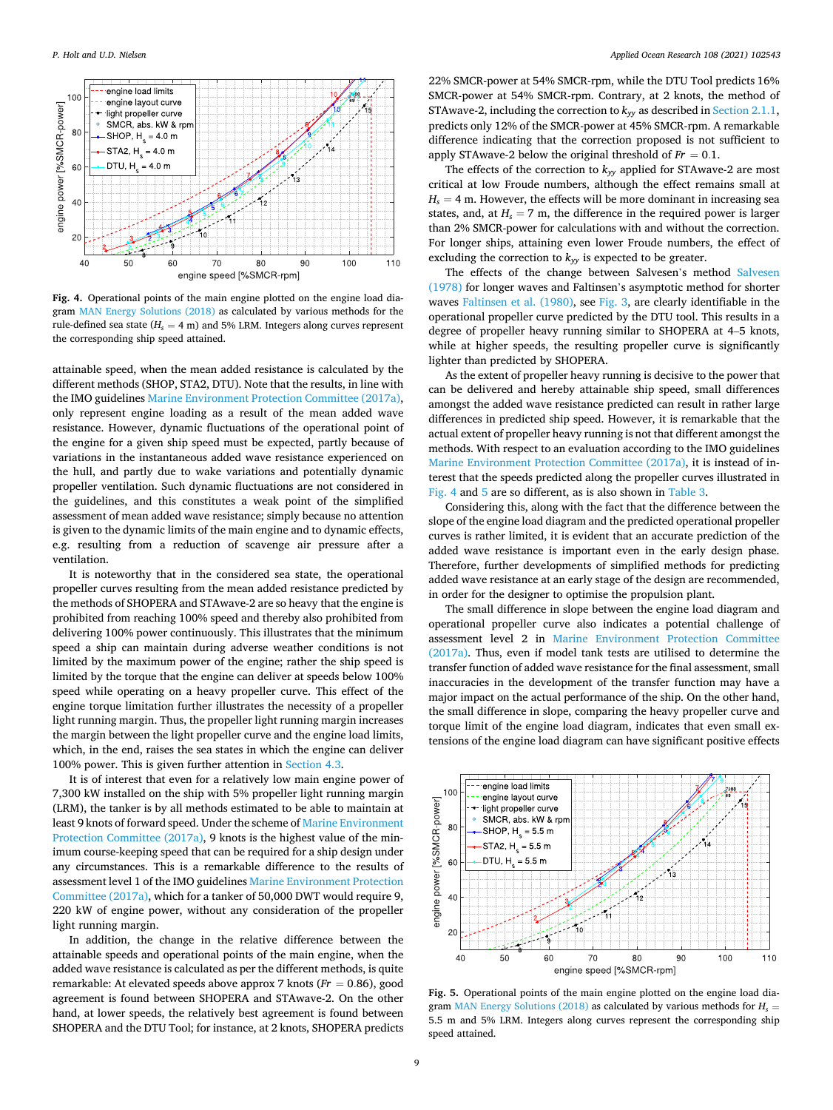<span id="page-8-0"></span>

**Fig. 4.** Operational points of the main engine plotted on the engine load diagram [MAN Energy Solutions \(2018\)](#page-11-0) as calculated by various methods for the rule-defined sea state  $(H_s = 4 \text{ m})$  and 5% LRM. Integers along curves represent the corresponding ship speed attained.

attainable speed, when the mean added resistance is calculated by the different methods (SHOP, STA2, DTU). Note that the results, in line with the IMO guidelines [Marine Environment Protection Committee \(2017a\)](#page-11-0), only represent engine loading as a result of the mean added wave resistance. However, dynamic fluctuations of the operational point of the engine for a given ship speed must be expected, partly because of variations in the instantaneous added wave resistance experienced on the hull, and partly due to wake variations and potentially dynamic propeller ventilation. Such dynamic fluctuations are not considered in the guidelines, and this constitutes a weak point of the simplified assessment of mean added wave resistance; simply because no attention is given to the dynamic limits of the main engine and to dynamic effects, e.g. resulting from a reduction of scavenge air pressure after a ventilation.

It is noteworthy that in the considered sea state, the operational propeller curves resulting from the mean added resistance predicted by the methods of SHOPERA and STAwave-2 are so heavy that the engine is prohibited from reaching 100% speed and thereby also prohibited from delivering 100% power continuously. This illustrates that the minimum speed a ship can maintain during adverse weather conditions is not limited by the maximum power of the engine; rather the ship speed is limited by the torque that the engine can deliver at speeds below 100% speed while operating on a heavy propeller curve. This effect of the engine torque limitation further illustrates the necessity of a propeller light running margin. Thus, the propeller light running margin increases the margin between the light propeller curve and the engine load limits, which, in the end, raises the sea states in which the engine can deliver 100% power. This is given further attention in [Section 4.3.](#page-9-0)

It is of interest that even for a relatively low main engine power of 7,300 kW installed on the ship with 5% propeller light running margin (LRM), the tanker is by all methods estimated to be able to maintain at least 9 knots of forward speed. Under the scheme of [Marine Environment](#page-11-0)  [Protection Committee \(2017a\)](#page-11-0), 9 knots is the highest value of the minimum course-keeping speed that can be required for a ship design under any circumstances. This is a remarkable difference to the results of assessment level 1 of the IMO guidelines [Marine Environment Protection](#page-11-0)  [Committee \(2017a\)](#page-11-0), which for a tanker of 50,000 DWT would require 9, 220 kW of engine power, without any consideration of the propeller light running margin.

In addition, the change in the relative difference between the attainable speeds and operational points of the main engine, when the added wave resistance is calculated as per the different methods, is quite remarkable: At elevated speeds above approx 7 knots (*Fr* = 0*.*86), good agreement is found between SHOPERA and STAwave-2. On the other hand, at lower speeds, the relatively best agreement is found between SHOPERA and the DTU Tool; for instance, at 2 knots, SHOPERA predicts

22% SMCR-power at 54% SMCR-rpm, while the DTU Tool predicts 16% SMCR-power at 54% SMCR-rpm. Contrary, at 2 knots, the method of STAwave-2, including the correction to  $k_{yy}$  as described in [Section 2.1.1](#page-3-0), predicts only 12% of the SMCR-power at 45% SMCR-rpm. A remarkable difference indicating that the correction proposed is not sufficient to apply STAwave-2 below the original threshold of  $Fr = 0.1$ .

The effects of the correction to  $k_{yy}$  applied for STAwave-2 are most critical at low Froude numbers, although the effect remains small at  $H_s = 4$  m. However, the effects will be more dominant in increasing sea states, and, at  $H_s = 7$  m, the difference in the required power is larger than 2% SMCR-power for calculations with and without the correction. For longer ships, attaining even lower Froude numbers, the effect of excluding the correction to  $k_{yy}$  is expected to be greater.

The effects of the change between Salvesen's method [Salvesen](#page-11-0)  [\(1978\)](#page-11-0) for longer waves and Faltinsen's asymptotic method for shorter waves [Faltinsen et al. \(1980\)](#page-10-0), see [Fig. 3,](#page-7-0) are clearly identifiable in the operational propeller curve predicted by the DTU tool. This results in a degree of propeller heavy running similar to SHOPERA at 4–5 knots, while at higher speeds, the resulting propeller curve is significantly lighter than predicted by SHOPERA.

As the extent of propeller heavy running is decisive to the power that can be delivered and hereby attainable ship speed, small differences amongst the added wave resistance predicted can result in rather large differences in predicted ship speed. However, it is remarkable that the actual extent of propeller heavy running is not that different amongst the methods. With respect to an evaluation according to the IMO guidelines [Marine Environment Protection Committee \(2017a\)](#page-11-0), it is instead of interest that the speeds predicted along the propeller curves illustrated in Fig. 4 and 5 are so different, as is also shown in [Table 3.](#page-7-0)

Considering this, along with the fact that the difference between the slope of the engine load diagram and the predicted operational propeller curves is rather limited, it is evident that an accurate prediction of the added wave resistance is important even in the early design phase. Therefore, further developments of simplified methods for predicting added wave resistance at an early stage of the design are recommended, in order for the designer to optimise the propulsion plant.

The small difference in slope between the engine load diagram and operational propeller curve also indicates a potential challenge of assessment level 2 in [Marine Environment Protection Committee](#page-11-0)  [\(2017a\).](#page-11-0) Thus, even if model tank tests are utilised to determine the transfer function of added wave resistance for the final assessment, small inaccuracies in the development of the transfer function may have a major impact on the actual performance of the ship. On the other hand, the small difference in slope, comparing the heavy propeller curve and torque limit of the engine load diagram, indicates that even small extensions of the engine load diagram can have significant positive effects



**Fig. 5.** Operational points of the main engine plotted on the engine load diagram [MAN Energy Solutions \(2018\)](#page-11-0) as calculated by various methods for *Hs* = 5.5 m and 5% LRM. Integers along curves represent the corresponding ship speed attained.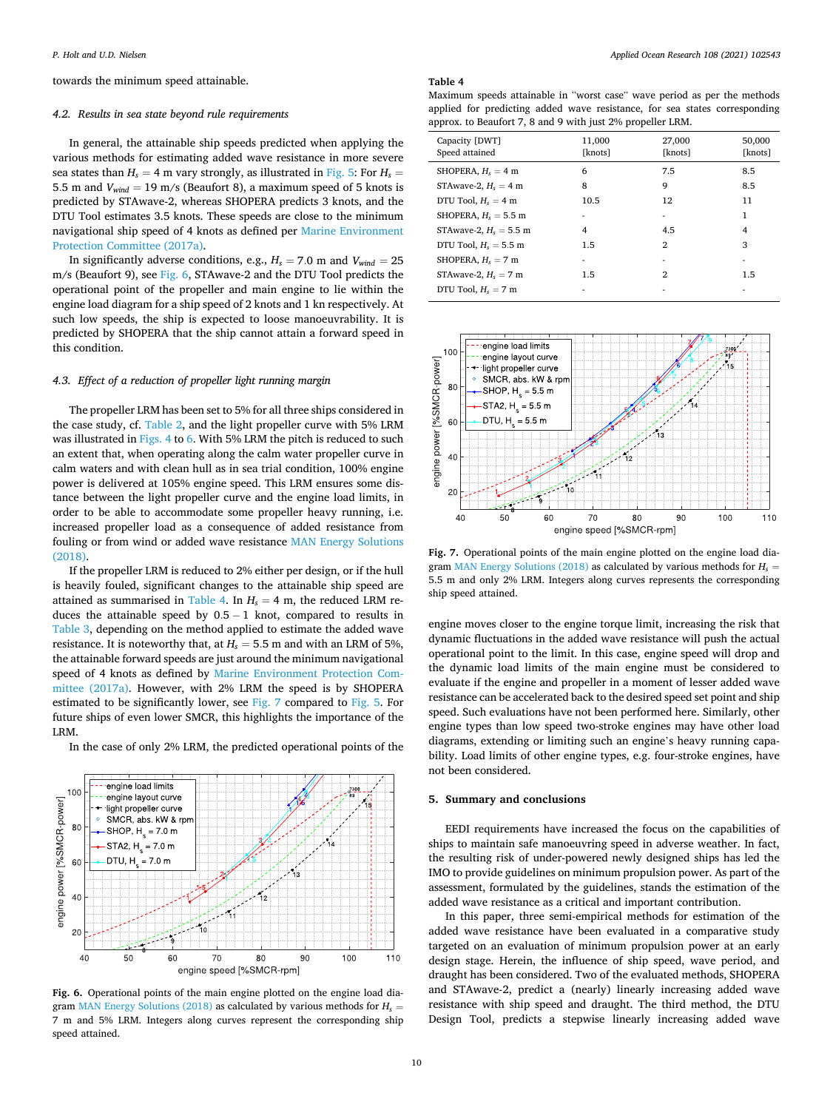<span id="page-9-0"></span>towards the minimum speed attainable.

#### *4.2. Results in sea state beyond rule requirements*

In general, the attainable ship speeds predicted when applying the various methods for estimating added wave resistance in more severe sea states than  $H_s = 4$  m vary strongly, as illustrated in [Fig. 5](#page-8-0): For  $H_s =$ 5.5 m and  $V_{wind} = 19$  m/s (Beaufort 8), a maximum speed of 5 knots is predicted by STAwave-2, whereas SHOPERA predicts 3 knots, and the DTU Tool estimates 3.5 knots. These speeds are close to the minimum navigational ship speed of 4 knots as defined per [Marine Environment](#page-11-0)  [Protection Committee \(2017a\)](#page-11-0).

In significantly adverse conditions, e.g.,  $H_s = 7.0$  m and  $V_{wind} = 25$ m/s (Beaufort 9), see Fig. 6, STAwave-2 and the DTU Tool predicts the operational point of the propeller and main engine to lie within the engine load diagram for a ship speed of 2 knots and 1 kn respectively. At such low speeds, the ship is expected to loose manoeuvrability. It is predicted by SHOPERA that the ship cannot attain a forward speed in this condition.

## *4.3. Effect of a reduction of propeller light running margin*

The propeller LRM has been set to 5% for all three ships considered in the case study, cf. [Table 2](#page-6-0), and the light propeller curve with 5% LRM was illustrated in [Figs. 4](#page-8-0) to 6. With 5% LRM the pitch is reduced to such an extent that, when operating along the calm water propeller curve in calm waters and with clean hull as in sea trial condition, 100% engine power is delivered at 105% engine speed. This LRM ensures some distance between the light propeller curve and the engine load limits, in order to be able to accommodate some propeller heavy running, i.e. increased propeller load as a consequence of added resistance from fouling or from wind or added wave resistance [MAN Energy Solutions](#page-11-0)  [\(2018\).](#page-11-0)

If the propeller LRM is reduced to 2% either per design, or if the hull is heavily fouled, significant changes to the attainable ship speed are attained as summarised in Table 4. In  $H_s = 4$  m, the reduced LRM reduces the attainable speed by 0*.*5 − 1 knot, compared to results in [Table 3](#page-7-0), depending on the method applied to estimate the added wave resistance. It is noteworthy that, at  $H_s = 5.5$  m and with an LRM of 5%, the attainable forward speeds are just around the minimum navigational speed of 4 knots as defined by [Marine Environment Protection Com](#page-11-0)[mittee \(2017a\)](#page-11-0). However, with 2% LRM the speed is by SHOPERA estimated to be significantly lower, see Fig. 7 compared to [Fig. 5.](#page-8-0) For future ships of even lower SMCR, this highlights the importance of the LRM.

In the case of only 2% LRM, the predicted operational points of the



**Fig. 6.** Operational points of the main engine plotted on the engine load dia-gram [MAN Energy Solutions \(2018\)](#page-11-0) as calculated by various methods for  $H_s$  = 7 m and 5% LRM. Integers along curves represent the corresponding ship speed attained.

## **Table 4**

Maximum speeds attainable in "worst case" wave period as per the methods applied for predicting added wave resistance, for sea states corresponding approx. to Beaufort 7, 8 and 9 with just 2% propeller LRM.

| Capacity [DWT]<br>Speed attained | 11,000<br>[knots] | 27,000<br>[knots] | 50,000<br>[knots] |
|----------------------------------|-------------------|-------------------|-------------------|
| SHOPERA, $H_s = 4$ m             | 6                 | 7.5               | 8.5               |
| STAwave-2, $H_s = 4$ m           | 8                 | 9                 | 8.5               |
| DTU Tool, $H_s = 4$ m            | 10.5              | 12                | 11                |
| SHOPERA, $H_s = 5.5$ m           |                   | ۰                 | 1                 |
| STAwave-2, $H_s = 5.5$ m         | 4                 | 4.5               | 4                 |
| DTU Tool, $H_s = 5.5$ m          | 1.5               | 2                 | 3                 |
| SHOPERA, $H_s = 7$ m             |                   | ۰                 |                   |
| STAwave-2, $H_s = 7$ m           | 1.5               | 2                 | 1.5               |
| DTU Tool, $H_s = 7$ m            |                   |                   |                   |



**Fig. 7.** Operational points of the main engine plotted on the engine load dia-gram [MAN Energy Solutions \(2018\)](#page-11-0) as calculated by various methods for  $H_s$  = 5.5 m and only 2% LRM. Integers along curves represents the corresponding ship speed attained.

engine moves closer to the engine torque limit, increasing the risk that dynamic fluctuations in the added wave resistance will push the actual operational point to the limit. In this case, engine speed will drop and the dynamic load limits of the main engine must be considered to evaluate if the engine and propeller in a moment of lesser added wave resistance can be accelerated back to the desired speed set point and ship speed. Such evaluations have not been performed here. Similarly, other engine types than low speed two-stroke engines may have other load diagrams, extending or limiting such an engine's heavy running capability. Load limits of other engine types, e.g. four-stroke engines, have not been considered.

## **5. Summary and conclusions**

EEDI requirements have increased the focus on the capabilities of ships to maintain safe manoeuvring speed in adverse weather. In fact, the resulting risk of under-powered newly designed ships has led the IMO to provide guidelines on minimum propulsion power. As part of the assessment, formulated by the guidelines, stands the estimation of the added wave resistance as a critical and important contribution.

In this paper, three semi-empirical methods for estimation of the added wave resistance have been evaluated in a comparative study targeted on an evaluation of minimum propulsion power at an early design stage. Herein, the influence of ship speed, wave period, and draught has been considered. Two of the evaluated methods, SHOPERA and STAwave-2, predict a (nearly) linearly increasing added wave resistance with ship speed and draught. The third method, the DTU Design Tool, predicts a stepwise linearly increasing added wave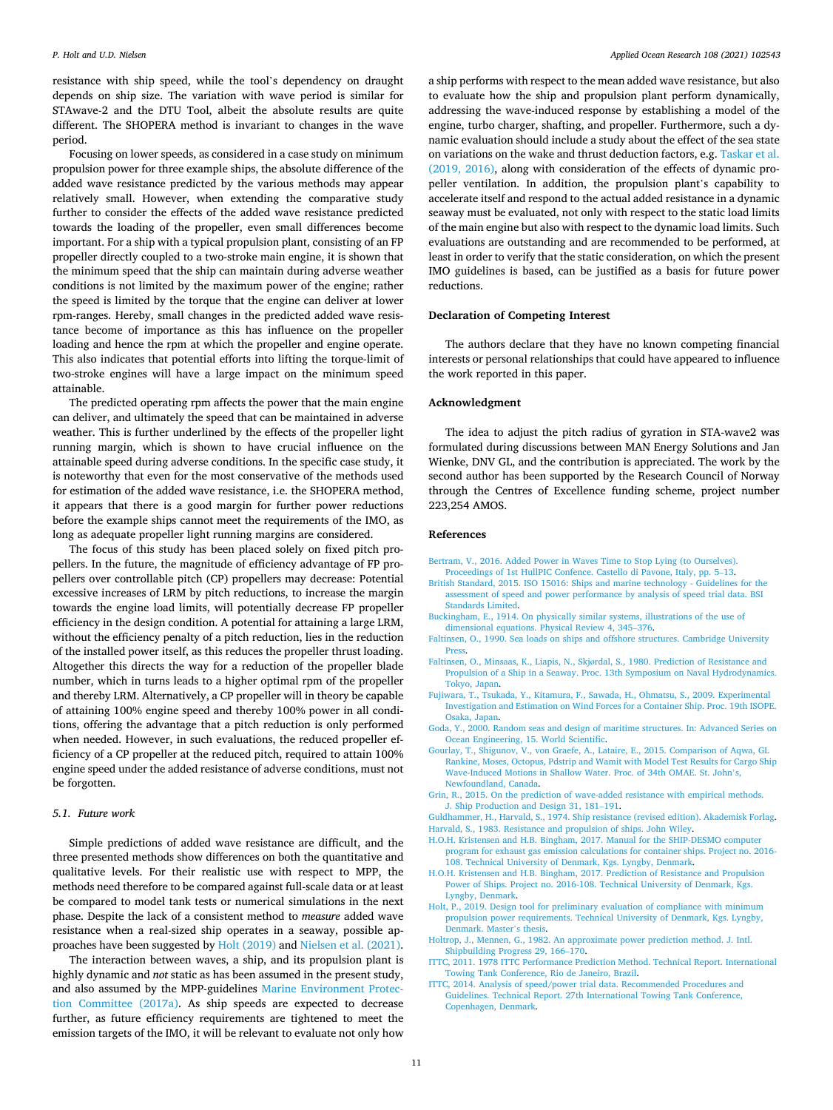<span id="page-10-0"></span>resistance with ship speed, while the tool's dependency on draught depends on ship size. The variation with wave period is similar for STAwave-2 and the DTU Tool, albeit the absolute results are quite different. The SHOPERA method is invariant to changes in the wave period.

Focusing on lower speeds, as considered in a case study on minimum propulsion power for three example ships, the absolute difference of the added wave resistance predicted by the various methods may appear relatively small. However, when extending the comparative study further to consider the effects of the added wave resistance predicted towards the loading of the propeller, even small differences become important. For a ship with a typical propulsion plant, consisting of an FP propeller directly coupled to a two-stroke main engine, it is shown that the minimum speed that the ship can maintain during adverse weather conditions is not limited by the maximum power of the engine; rather the speed is limited by the torque that the engine can deliver at lower rpm-ranges. Hereby, small changes in the predicted added wave resistance become of importance as this has influence on the propeller loading and hence the rpm at which the propeller and engine operate. This also indicates that potential efforts into lifting the torque-limit of two-stroke engines will have a large impact on the minimum speed attainable.

The predicted operating rpm affects the power that the main engine can deliver, and ultimately the speed that can be maintained in adverse weather. This is further underlined by the effects of the propeller light running margin, which is shown to have crucial influence on the attainable speed during adverse conditions. In the specific case study, it is noteworthy that even for the most conservative of the methods used for estimation of the added wave resistance, i.e. the SHOPERA method, it appears that there is a good margin for further power reductions before the example ships cannot meet the requirements of the IMO, as long as adequate propeller light running margins are considered.

The focus of this study has been placed solely on fixed pitch propellers. In the future, the magnitude of efficiency advantage of FP propellers over controllable pitch (CP) propellers may decrease: Potential excessive increases of LRM by pitch reductions, to increase the margin towards the engine load limits, will potentially decrease FP propeller efficiency in the design condition. A potential for attaining a large LRM, without the efficiency penalty of a pitch reduction, lies in the reduction of the installed power itself, as this reduces the propeller thrust loading. Altogether this directs the way for a reduction of the propeller blade number, which in turns leads to a higher optimal rpm of the propeller and thereby LRM. Alternatively, a CP propeller will in theory be capable of attaining 100% engine speed and thereby 100% power in all conditions, offering the advantage that a pitch reduction is only performed when needed. However, in such evaluations, the reduced propeller efficiency of a CP propeller at the reduced pitch, required to attain 100% engine speed under the added resistance of adverse conditions, must not be forgotten.

## *5.1. Future work*

Simple predictions of added wave resistance are difficult, and the three presented methods show differences on both the quantitative and qualitative levels. For their realistic use with respect to MPP, the methods need therefore to be compared against full-scale data or at least be compared to model tank tests or numerical simulations in the next phase. Despite the lack of a consistent method to *measure* added wave resistance when a real-sized ship operates in a seaway, possible approaches have been suggested by Holt (2019) and [Nielsen et al. \(2021\)](#page-11-0).

The interaction between waves, a ship, and its propulsion plant is highly dynamic and *not* static as has been assumed in the present study, and also assumed by the MPP-guidelines [Marine Environment Protec](#page-11-0)[tion Committee \(2017a\).](#page-11-0) As ship speeds are expected to decrease further, as future efficiency requirements are tightened to meet the emission targets of the IMO, it will be relevant to evaluate not only how

a ship performs with respect to the mean added wave resistance, but also to evaluate how the ship and propulsion plant perform dynamically, addressing the wave-induced response by establishing a model of the engine, turbo charger, shafting, and propeller. Furthermore, such a dynamic evaluation should include a study about the effect of the sea state on variations on the wake and thrust deduction factors, e.g. [Taskar et al.](#page-11-0)  [\(2019, 2016\),](#page-11-0) along with consideration of the effects of dynamic propeller ventilation. In addition, the propulsion plant's capability to accelerate itself and respond to the actual added resistance in a dynamic seaway must be evaluated, not only with respect to the static load limits of the main engine but also with respect to the dynamic load limits. Such evaluations are outstanding and are recommended to be performed, at least in order to verify that the static consideration, on which the present IMO guidelines is based, can be justified as a basis for future power reductions.

## **Declaration of Competing Interest**

The authors declare that they have no known competing financial interests or personal relationships that could have appeared to influence the work reported in this paper.

## **Acknowledgment**

The idea to adjust the pitch radius of gyration in STA-wave2 was formulated during discussions between MAN Energy Solutions and Jan Wienke, DNV GL, and the contribution is appreciated. The work by the second author has been supported by the Research Council of Norway through the Centres of Excellence funding scheme, project number 223,254 AMOS.

#### **References**

- [Bertram, V., 2016. Added Power in Waves Time to Stop Lying \(to Ourselves\).](http://refhub.elsevier.com/S0141-1187(21)00020-1/sbref0001) [Proceedings of 1st HullPIC Confence. Castello di Pavone, Italy, pp. 5](http://refhub.elsevier.com/S0141-1187(21)00020-1/sbref0001)–13.
- [British Standard, 2015. ISO 15016: Ships and marine technology Guidelines for the](http://refhub.elsevier.com/S0141-1187(21)00020-1/sbref0002)  [assessment of speed and power performance by analysis of speed trial data. BSI](http://refhub.elsevier.com/S0141-1187(21)00020-1/sbref0002)  [Standards Limited](http://refhub.elsevier.com/S0141-1187(21)00020-1/sbref0002).
- [Buckingham, E., 1914. On physically similar systems, illustrations of the use of](http://refhub.elsevier.com/S0141-1187(21)00020-1/sbref0003)  [dimensional equations. Physical Review 4, 345](http://refhub.elsevier.com/S0141-1187(21)00020-1/sbref0003)–376.
- [Faltinsen, O., 1990. Sea loads on ships and offshore structures. Cambridge University](http://refhub.elsevier.com/S0141-1187(21)00020-1/sbref0004) [Press.](http://refhub.elsevier.com/S0141-1187(21)00020-1/sbref0004)
- Faltinsen, O., Minsaas, K., Liapis, N., Skjø[rdal, S., 1980. Prediction of Resistance and](http://refhub.elsevier.com/S0141-1187(21)00020-1/sbref0005)  [Propulsion of a Ship in a Seaway. Proc. 13th Symposium on Naval Hydrodynamics.](http://refhub.elsevier.com/S0141-1187(21)00020-1/sbref0005)  [Tokyo, Japan.](http://refhub.elsevier.com/S0141-1187(21)00020-1/sbref0005)
- [Fujiwara, T., Tsukada, Y., Kitamura, F., Sawada, H., Ohmatsu, S., 2009. Experimental](http://refhub.elsevier.com/S0141-1187(21)00020-1/sbref0006) [Investigation and Estimation on Wind Forces for a Container Ship. Proc. 19th ISOPE.](http://refhub.elsevier.com/S0141-1187(21)00020-1/sbref0006)  [Osaka, Japan](http://refhub.elsevier.com/S0141-1187(21)00020-1/sbref0006).
- [Goda, Y., 2000. Random seas and design of maritime structures. In: Advanced Series on](http://refhub.elsevier.com/S0141-1187(21)00020-1/sbref0007)  [Ocean Engineering, 15. World Scientific.](http://refhub.elsevier.com/S0141-1187(21)00020-1/sbref0007)
- [Gourlay, T., Shigunov, V., von Graefe, A., Lataire, E., 2015. Comparison of Aqwa, GL](http://refhub.elsevier.com/S0141-1187(21)00020-1/sbref0008) [Rankine, Moses, Octopus, Pdstrip and Wamit with Model Test Results for Cargo Ship](http://refhub.elsevier.com/S0141-1187(21)00020-1/sbref0008)  [Wave-Induced Motions in Shallow Water. Proc. of 34th OMAE. St. John](http://refhub.elsevier.com/S0141-1187(21)00020-1/sbref0008)'s, [Newfoundland, Canada.](http://refhub.elsevier.com/S0141-1187(21)00020-1/sbref0008)
- [Grin, R., 2015. On the prediction of wave-added resistance with empirical methods.](http://refhub.elsevier.com/S0141-1187(21)00020-1/sbref0009)  [J. Ship Production and Design 31, 181](http://refhub.elsevier.com/S0141-1187(21)00020-1/sbref0009)–191.
- [Guldhammer, H., Harvald, S., 1974. Ship resistance \(revised edition\). Akademisk Forlag.](http://refhub.elsevier.com/S0141-1187(21)00020-1/sbref0010) [Harvald, S., 1983. Resistance and propulsion of ships. John Wiley.](http://refhub.elsevier.com/S0141-1187(21)00020-1/sbref0011)
- [H.O.H. Kristensen and H.B. Bingham, 2017. Manual for the SHIP-DESMO computer](http://refhub.elsevier.com/S0141-1187(21)00020-1/sbref0012)  [program for exhaust gas emission calculations for container ships. Project no. 2016-](http://refhub.elsevier.com/S0141-1187(21)00020-1/sbref0012)  [108. Technical University of Denmark, Kgs. Lyngby, Denmark](http://refhub.elsevier.com/S0141-1187(21)00020-1/sbref0012).
- [H.O.H. Kristensen and H.B. Bingham, 2017. Prediction of Resistance and Propulsion](http://refhub.elsevier.com/S0141-1187(21)00020-1/sbref0013)  [Power of Ships. Project no. 2016-108. Technical University of Denmark, Kgs.](http://refhub.elsevier.com/S0141-1187(21)00020-1/sbref0013)  [Lyngby, Denmark.](http://refhub.elsevier.com/S0141-1187(21)00020-1/sbref0013)
- [Holt, P., 2019. Design tool for preliminary evaluation of compliance with minimum](http://refhub.elsevier.com/S0141-1187(21)00020-1/sbref0014) [propulsion power requirements. Technical University of Denmark, Kgs. Lyngby,](http://refhub.elsevier.com/S0141-1187(21)00020-1/sbref0014)  [Denmark. Master](http://refhub.elsevier.com/S0141-1187(21)00020-1/sbref0014)'s thesis.
- [Holtrop, J., Mennen, G., 1982. An approximate power prediction method. J. Intl.](http://refhub.elsevier.com/S0141-1187(21)00020-1/sbref0015) [Shipbuilding Progress 29, 166](http://refhub.elsevier.com/S0141-1187(21)00020-1/sbref0015)–170.
- [ITTC, 2011. 1978 ITTC Performance Prediction Method. Technical Report. International](http://refhub.elsevier.com/S0141-1187(21)00020-1/sbref0016)  [Towing Tank Conference, Rio de Janeiro, Brazil](http://refhub.elsevier.com/S0141-1187(21)00020-1/sbref0016).
- [ITTC, 2014. Analysis of speed/power trial data. Recommended Procedures and](http://refhub.elsevier.com/S0141-1187(21)00020-1/sbref0017) [Guidelines. Technical Report. 27th International Towing Tank Conference,](http://refhub.elsevier.com/S0141-1187(21)00020-1/sbref0017) [Copenhagen, Denmark.](http://refhub.elsevier.com/S0141-1187(21)00020-1/sbref0017)